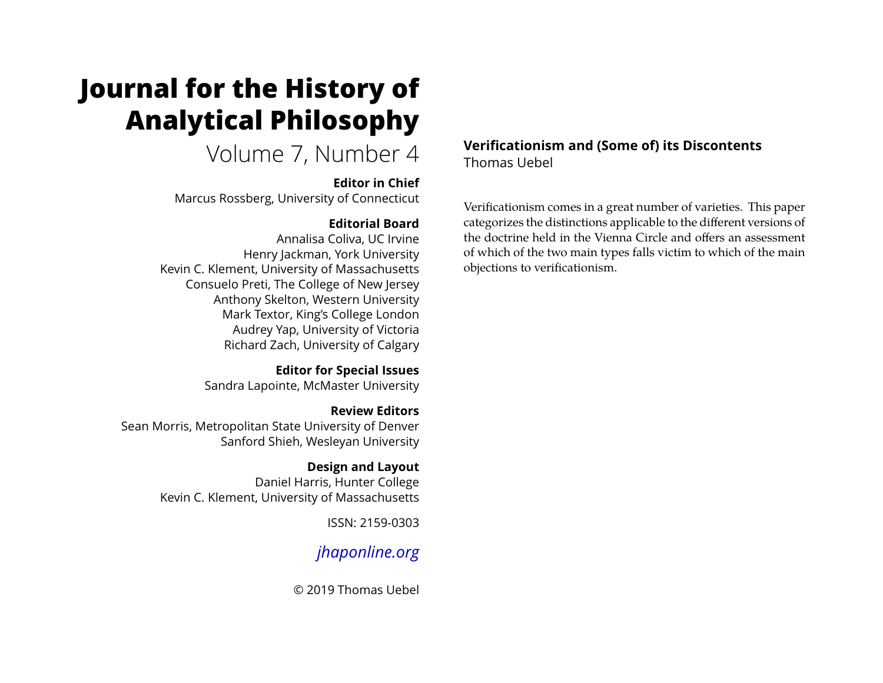# **Journal for the History of Analytical Philosophy**

# Volume 7, Number 4

### **Editor in Chief**

Marcus Rossberg, University of Connecticut

# **Editorial Board**

Annalisa Coliva, UC Irvine Henry Jackman, York University Kevin C. Klement, University of Massachusetts Consuelo Preti, The College of New Jersey Anthony Skelton, Western University Mark Textor, King's College London Audrey Yap, University of Victoria Richard Zach, University of Calgary

> **Editor for Special Issues** Sandra Lapointe, McMaster University

**Review Editors** Sean Morris, Metropolitan State University of Denver Sanford Shieh, Wesleyan University

> **Design and Layout** Daniel Harris, Hunter College Kevin C. Klement, University of Massachusetts

> > ISSN: 2159-0303

# *[jhaponline.org](https://jhaponline.org)*

© 2019 Thomas Uebel

# **Verificationism and (Some of) its Discontents** Thomas Uebel

Verificationism comes in a great number of varieties. This paper categorizes the distinctions applicable to the different versions of the doctrine held in the Vienna Circle and offers an assessment of which of the two main types falls victim to which of the main objections to verificationism.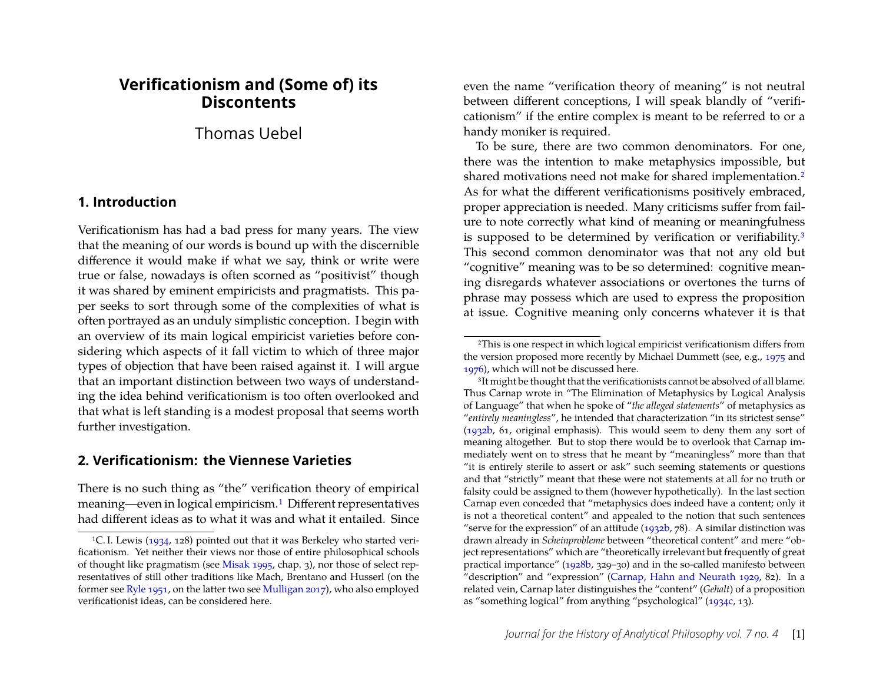## **Verificationism and (Some of) its Discontents**

### Thomas Uebel

#### **1. Introduction**

Verificationism has had a bad press for many years. The view that the meaning of our words is bound up with the discernible difference it would make if what we say, think or write were true or false, nowadays is often scorned as "positivist" though it was shared by eminent empiricists and pragmatists. This paper seeks to sort through some of the complexities of what is often portrayed as an unduly simplistic conception. I begin with an overview of its main logical empiricist varieties before considering which aspects of it fall victim to which of three major types of objection that have been raised against it. I will argue that an important distinction between two ways of understanding the idea behind verificationism is too often overlooked and that what is left standing is a modest proposal that seems worth further investigation.

#### **2. Verificationism: the Viennese Varieties**

There is no such thing as "the" verification theory of empirical meaning—even in logical empiricism[.1](#page-1-0) Different representatives had different ideas as to what it was and what it entailed. Since

even the name "verification theory of meaning" is not neutral between different conceptions, I will speak blandly of "verificationism" if the entire complex is meant to be referred to or a handy moniker is required.

To be sure, there are two common denominators. For one, there was the intention to make metaphysics impossible, but shared motivations need not make for shared implementation[.2](#page-1-1) As for what the different verificationisms positively embraced, proper appreciation is needed. Many criticisms suffer from failure to note correctly what kind of meaning or meaningfulness is supposed to be determined by verification or verifiability[.3](#page-1-2) This second common denominator was that not any old but "cognitive" meaning was to be so determined: cognitive meaning disregards whatever associations or overtones the turns of phrase may possess which are used to express the proposition at issue. Cognitive meaning only concerns whatever it is that

<span id="page-1-0"></span><sup>&</sup>lt;sup>1</sup>C. I. Lewis [\(1934,](#page-28-0) 128) pointed out that it was Berkeley who started verificationism. Yet neither their views nor those of entire philosophical schools of thought like pragmatism (see [Misak 1995,](#page-29-0) chap. 3), nor those of select representatives of still other traditions like Mach, Brentano and Husserl (on the former see [Ryle 1951,](#page-30-0) on the latter two see [Mulligan 2017\)](#page-29-1), who also employed verificationist ideas, can be considered here.

<span id="page-1-1"></span><sup>2</sup>This is one respect in which logical empiricist verificationism differs from the version proposed more recently by Michael Dummett (see, e.g., [1975](#page-28-1) and [1976\)](#page-28-2), which will not be discussed here.

<span id="page-1-2"></span><sup>&</sup>lt;sup>3</sup>It might be thought that the verificationists cannot be absolved of all blame. Thus Carnap wrote in "The Elimination of Metaphysics by Logical Analysis of Language" that when he spoke of "*the alleged statements*" of metaphysics as "*entirely meaningless*", he intended that characterization "in its strictest sense" [\(1932b,](#page-26-0) 61, original emphasis). This would seem to deny them any sort of meaning altogether. But to stop there would be to overlook that Carnap immediately went on to stress that he meant by "meaningless" more than that "it is entirely sterile to assert or ask" such seeming statements or questions and that "strictly" meant that these were not statements at all for no truth or falsity could be assigned to them (however hypothetically). In the last section Carnap even conceded that "metaphysics does indeed have a content; only it is not a theoretical content" and appealed to the notion that such sentences "serve for the expression" of an attitude  $(1932b, 78)$ . A similar distinction was drawn already in *Scheinprobleme* between "theoretical content" and mere "object representations" which are "theoretically irrelevant but frequently of great practical importance" [\(1928b,](#page-26-1) 329–30) and in the so-called manifesto between "description" and "expression" [\(Carnap, Hahn and Neurath 1929,](#page-27-0) 82). In a related vein, Carnap later distinguishes the "content" (*Gehalt*) of a proposition as "something logical" from anything "psychological" [\(1934c,](#page-26-2) 13).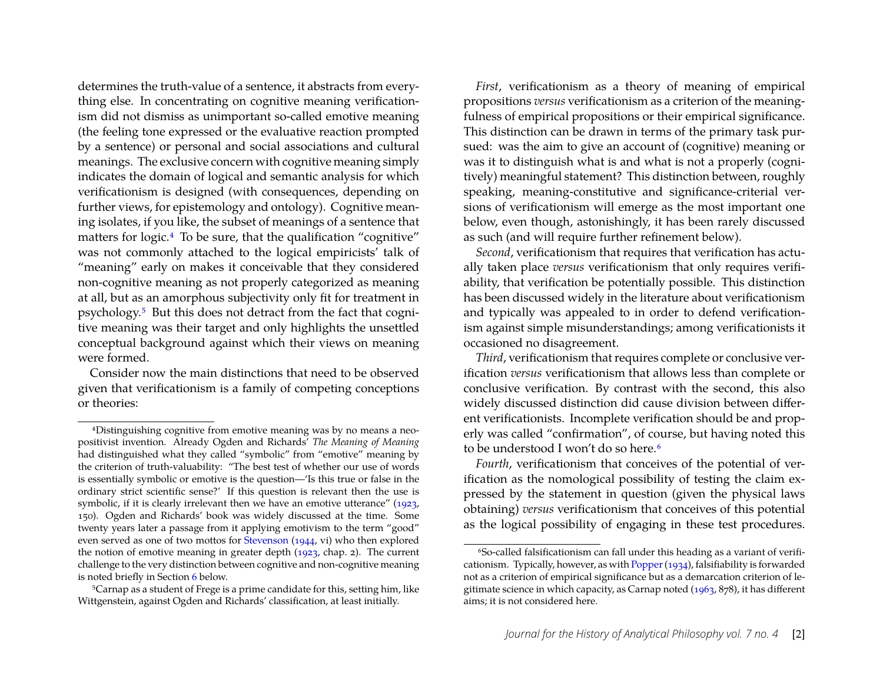determines the truth-value of a sentence, it abstracts from everything else. In concentrating on cognitive meaning verificationism did not dismiss as unimportant so-called emotive meaning (the feeling tone expressed or the evaluative reaction prompted by a sentence) or personal and social associations and cultural meanings. The exclusive concern with cognitive meaning simply indicates the domain of logical and semantic analysis for which verificationism is designed (with consequences, depending on further views, for epistemology and ontology). Cognitive meaning isolates, if you like, the subset of meanings of a sentence that matters for logic.<sup>[4](#page-2-0)</sup> To be sure, that the qualification "cognitive" was not commonly attached to the logical empiricists' talk of "meaning" early on makes it conceivable that they considered non-cognitive meaning as not properly categorized as meaning at all, but as an amorphous subjectivity only fit for treatment in psychology.[5](#page-2-1) But this does not detract from the fact that cognitive meaning was their target and only highlights the unsettled conceptual background against which their views on meaning were formed.

Consider now the main distinctions that need to be observed given that verificationism is a family of competing conceptions or theories:

*First*, verificationism as a theory of meaning of empirical propositions *versus* verificationism as a criterion of the meaningfulness of empirical propositions or their empirical significance. This distinction can be drawn in terms of the primary task pursued: was the aim to give an account of (cognitive) meaning or was it to distinguish what is and what is not a properly (cognitively) meaningful statement? This distinction between, roughly speaking, meaning-constitutive and significance-criterial versions of verificationism will emerge as the most important one below, even though, astonishingly, it has been rarely discussed as such (and will require further refinement below).

*Second*, verificationism that requires that verification has actually taken place *versus* verificationism that only requires verifiability, that verification be potentially possible. This distinction has been discussed widely in the literature about verificationism and typically was appealed to in order to defend verificationism against simple misunderstandings; among verificationists it occasioned no disagreement.

*Third*, verificationism that requires complete or conclusive verification *versus* verificationism that allows less than complete or conclusive verification. By contrast with the second, this also widely discussed distinction did cause division between different verificationists. Incomplete verification should be and properly was called "confirmation", of course, but having noted this to be understood I won't do so here.<sup>[6](#page-2-2)</sup>

*Fourth*, verificationism that conceives of the potential of verification as the nomological possibility of testing the claim expressed by the statement in question (given the physical laws obtaining) *versus* verificationism that conceives of this potential as the logical possibility of engaging in these test procedures.

<span id="page-2-0"></span><sup>4</sup>Distinguishing cognitive from emotive meaning was by no means a neopositivist invention. Already Ogden and Richards' *The Meaning of Meaning* had distinguished what they called "symbolic" from "emotive" meaning by the criterion of truth-valuability: "The best test of whether our use of words is essentially symbolic or emotive is the question—'Is this true or false in the ordinary strict scientific sense?' If this question is relevant then the use is symbolic, if it is clearly irrelevant then we have an emotive utterance" [\(1923,](#page-29-2) 150). Ogden and Richards' book was widely discussed at the time. Some twenty years later a passage from it applying emotivism to the term "good" even served as one of two mottos for [Stevenson](#page-31-0) [\(1944,](#page-31-0) vi) who then explored the notion of emotive meaning in greater depth [\(1923,](#page-29-2) chap. 2). The current challenge to the very distinction between cognitive and non-cognitive meaning is noted briefly in Section [6](#page-19-0) below.

<span id="page-2-1"></span><sup>5</sup>Carnap as a student of Frege is a prime candidate for this, setting him, like Wittgenstein, against Ogden and Richards' classification, at least initially.

<span id="page-2-2"></span><sup>6</sup>So-called falsificationism can fall under this heading as a variant of verificationism. Typically, however, as with [Popper\(1934\)](#page-29-3), falsifiability is forwarded not as a criterion of empirical significance but as a demarcation criterion of legitimate science in which capacity, as Carnap noted [\(1963,](#page-27-1) 878), it has different aims; it is not considered here.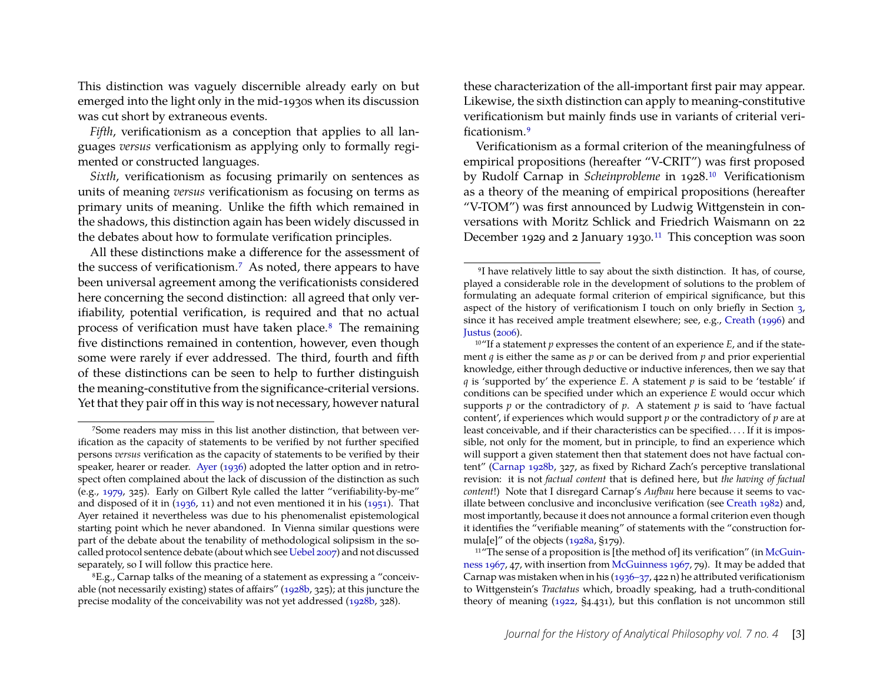This distinction was vaguely discernible already early on but emerged into the light only in the mid-1930s when its discussion was cut short by extraneous events.

*Fifth*, verificationism as a conception that applies to all languages *versus* verficationism as applying only to formally regimented or constructed languages.

*Sixth*, verificationism as focusing primarily on sentences as units of meaning *versus* verificationism as focusing on terms as primary units of meaning. Unlike the fifth which remained in the shadows, this distinction again has been widely discussed in the debates about how to formulate verification principles.

All these distinctions make a difference for the assessment of the success of verificationism.[7](#page-3-0) As noted, there appears to have been universal agreement among the verificationists considered here concerning the second distinction: all agreed that only verifiability, potential verification, is required and that no actual process of verification must have taken place.[8](#page-3-1) The remaining five distinctions remained in contention, however, even though some were rarely if ever addressed. The third, fourth and fifth of these distinctions can be seen to help to further distinguish the meaning-constitutive from the significance-criterial versions. Yet that they pair off in this way is not necessary, however natural these characterization of the all-important first pair may appear. Likewise, the sixth distinction can apply to meaning-constitutive verificationism but mainly finds use in variants of criterial verificationism.[9](#page-3-2)

Verificationism as a formal criterion of the meaningfulness of empirical propositions (hereafter "V-CRIT") was first proposed by Rudolf Carnap in *Scheinprobleme* in 1928[.10](#page-3-3) Verificationism as a theory of the meaning of empirical propositions (hereafter "V-TOM") was first announced by Ludwig Wittgenstein in conversations with Moritz Schlick and Friedrich Waismann on 22 December 1929 and 2 January 1930.<sup>11</sup> This conception was soon

<span id="page-3-3"></span>10"If a statement *p* expresses the content of an experience *E*, and if the statement *q* is either the same as *p* or can be derived from *p* and prior experiential knowledge, either through deductive or inductive inferences, then we say that *q* is 'supported by' the experience *E*. A statement *p* is said to be 'testable' if conditions can be specified under which an experience *E* would occur which supports  $p$  or the contradictory of  $p$ . A statement  $p$  is said to 'have factual content', if experiences which would support *p* or the contradictory of *p* are at least conceivable, and if their characteristics can be specified. . . . If it is impossible, not only for the moment, but in principle, to find an experience which will support a given statement then that statement does not have factual content" [\(Carnap 1928b,](#page-26-1) 327, as fixed by Richard Zach's perceptive translational revision: it is not *factual content* that is defined here, but *the having of factual content*!) Note that I disregard Carnap's *Aufbau* here because it seems to vacillate between conclusive and inconclusive verification (see [Creath 1982\)](#page-27-3) and, most importantly, because it does not announce a formal criterion even though it identifies the "verifiable meaning" of statements with the "construction formula[e]" of the objects [\(1928a,](#page-26-5) §179).

<span id="page-3-4"></span><sup>11</sup>"The sense of a proposition is [the method of] its verification" (in [McGuin](#page-29-4)[ness 1967,](#page-29-4) 47, with insertion from [McGuinness 1967,](#page-29-4) 79). It may be added that Carnap was mistaken when in his [\(1936–37,](#page-27-4) 422 n) he attributed verificationism to Wittgenstein's *Tractatus* which, broadly speaking, had a truth-conditional theory of meaning [\(1922,](#page-31-2) §4.431), but this conflation is not uncommon still

<span id="page-3-0"></span><sup>7</sup>Some readers may miss in this list another distinction, that between verification as the capacity of statements to be verified by not further specified persons *versus* verification as the capacity of statements to be verified by their speaker, hearer or reader. [Ayer](#page-26-3) [\(1936\)](#page-26-3) adopted the latter option and in retrospect often complained about the lack of discussion of the distinction as such (e.g., [1979,](#page-26-4) 325). Early on Gilbert Ryle called the latter "verifiability-by-me" and disposed of it in  $(1936, 11)$  and not even mentioned it in his  $(1951)$ . That Ayer retained it nevertheless was due to his phenomenalist epistemological starting point which he never abandoned. In Vienna similar questions were part of the debate about the tenability of methodological solipsism in the socalled protocol sentence debate (about which see [Uebel 2007\)](#page-31-1) and not discussed separately, so I will follow this practice here.

<span id="page-3-1"></span><sup>8</sup>E.g., Carnap talks of the meaning of a statement as expressing a "conceivable (not necessarily existing) states of affairs" [\(1928b,](#page-26-1) 325); at this juncture the precise modality of the conceivability was not yet addressed [\(1928b,](#page-26-1) 328).

<span id="page-3-2"></span><sup>9</sup>I have relatively little to say about the sixth distinction. It has, of course, played a considerable role in the development of solutions to the problem of formulating an adequate formal criterion of empirical significance, but this aspect of the history of verificationism I touch on only briefly in Section [3,](#page-9-0) since it has received ample treatment elsewhere; see, e.g., [Creath](#page-27-2) [\(1996\)](#page-27-2) and [Justus](#page-28-3) [\(2006\)](#page-28-3).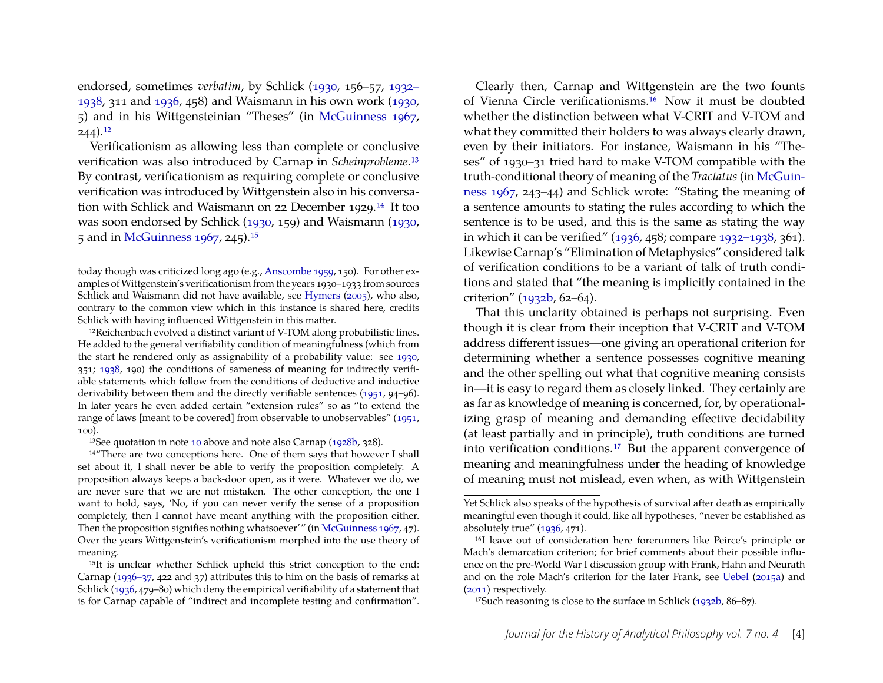endorsed, sometimes *verbatim*, by Schlick [\(1930,](#page-30-2) 156–57, [1932–](#page-31-3) [1938,](#page-31-3) 311 and [1936,](#page-31-4) 458) and Waismann in his own work [\(1930,](#page-31-5) 5) and in his Wittgensteinian "Theses" (in [McGuinness 1967,](#page-29-4)  $244$ ).<sup>12</sup>

Verificationism as allowing less than complete or conclusive verification was also introduced by Carnap in *Scheinprobleme*[.13](#page-4-1) By contrast, verificationism as requiring complete or conclusive verification was introduced by Wittgenstein also in his conversation with Schlick and Waismann on 22 December 1929[.14](#page-4-2) It too was soon endorsed by Schlick [\(1930,](#page-30-2) 159) and Waismann [\(1930,](#page-31-5) 5 and in [McGuinness 1967,](#page-29-4) 245)[.15](#page-4-3)

<span id="page-4-2"></span><span id="page-4-1"></span><sup>13</sup>See quotation in note [10](#page-3-3) above and note also Carnap [\(1928b,](#page-26-1) 328).

Clearly then, Carnap and Wittgenstein are the two founts of Vienna Circle verificationisms[.16](#page-4-4) Now it must be doubted whether the distinction between what V-CRIT and V-TOM and what they committed their holders to was always clearly drawn, even by their initiators. For instance, Waismann in his "Theses" of 1930–31 tried hard to make V-TOM compatible with the truth-conditional theory of meaning of the *Tractatus* (in [McGuin](#page-29-4)[ness 1967,](#page-29-4) 243–44) and Schlick wrote: "Stating the meaning of a sentence amounts to stating the rules according to which the sentence is to be used, and this is the same as stating the way in which it can be verified" [\(1936,](#page-31-4) 458; compare [1932–1938,](#page-31-3) 361). Likewise Carnap's "Elimination of Metaphysics" considered talk of verification conditions to be a variant of talk of truth conditions and stated that "the meaning is implicitly contained in the criterion" [\(1932b,](#page-26-0) 62–64).

That this unclarity obtained is perhaps not surprising. Even though it is clear from their inception that V-CRIT and V-TOM address different issues—one giving an operational criterion for determining whether a sentence possesses cognitive meaning and the other spelling out what that cognitive meaning consists in—it is easy to regard them as closely linked. They certainly are as far as knowledge of meaning is concerned, for, by operationalizing grasp of meaning and demanding effective decidability (at least partially and in principle), truth conditions are turned into verification conditions[.17](#page-4-5) But the apparent convergence of meaning and meaningfulness under the heading of knowledge of meaning must not mislead, even when, as with Wittgenstein

today though was criticized long ago (e.g., [Anscombe 1959,](#page-26-6) 150). For other examples of Wittgenstein's verificationism from the years 1930–1933 from sources Schlick and Waismann did not have available, see [Hymers](#page-28-4) [\(2005\)](#page-28-4), who also, contrary to the common view which in this instance is shared here, credits Schlick with having influenced Wittgenstein in this matter.

<span id="page-4-0"></span><sup>&</sup>lt;sup>12</sup>Reichenbach evolved a distinct variant of V-TOM along probabilistic lines. He added to the general verifiability condition of meaningfulness (which from the start he rendered only as assignability of a probability value: see [1930,](#page-30-3) 351; [1938,](#page-30-4) 190) the conditions of sameness of meaning for indirectly verifiable statements which follow from the conditions of deductive and inductive derivability between them and the directly verifiable sentences [\(1951,](#page-30-5) 94–96). In later years he even added certain "extension rules" so as "to extend the range of laws [meant to be covered] from observable to unobservables" [\(1951,](#page-30-5) 100).

<sup>&</sup>lt;sup>14</sup>"There are two conceptions here. One of them says that however I shall set about it, I shall never be able to verify the proposition completely. A proposition always keeps a back-door open, as it were. Whatever we do, we are never sure that we are not mistaken. The other conception, the one I want to hold, says, 'No, if you can never verify the sense of a proposition completely, then I cannot have meant anything with the proposition either. Then the proposition signifies nothing whatsoever'" (in [McGuinness 1967,](#page-29-4) 47). Over the years Wittgenstein's verificationism morphed into the use theory of meaning.

<span id="page-4-3"></span><sup>15</sup>It is unclear whether Schlick upheld this strict conception to the end: Carnap [\(1936–37,](#page-27-4) 422 and 37) attributes this to him on the basis of remarks at Schlick [\(1936,](#page-31-4) 479–80) which deny the empirical verifiability of a statement that is for Carnap capable of "indirect and incomplete testing and confirmation".

Yet Schlick also speaks of the hypothesis of survival after death as empirically meaningful even though it could, like all hypotheses, "never be established as absolutely true" [\(1936,](#page-31-4) 471).

<span id="page-4-4"></span><sup>16</sup>I leave out of consideration here forerunners like Peirce's principle or Mach's demarcation criterion; for brief comments about their possible influence on the pre-World War I discussion group with Frank, Hahn and Neurath and on the role Mach's criterion for the later Frank, see [Uebel](#page-31-6) [\(2015a\)](#page-31-6) and [\(2011\)](#page-31-7) respectively.

<span id="page-4-5"></span><sup>17</sup>Such reasoning is close to the surface in Schlick [\(1932b,](#page-30-6) 86–87).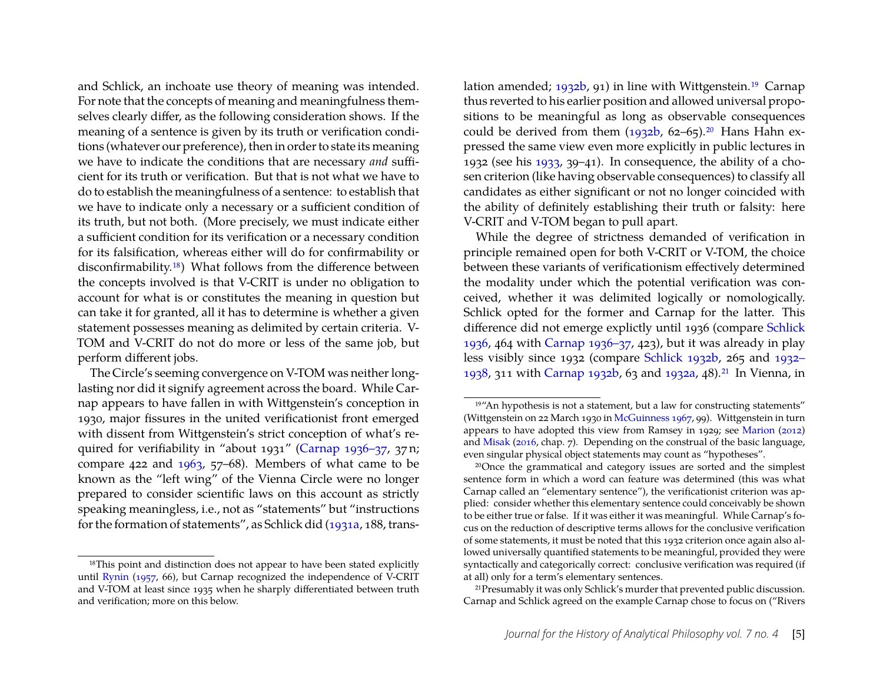and Schlick, an inchoate use theory of meaning was intended. For note that the concepts of meaning and meaningfulness themselves clearly differ, as the following consideration shows. If the meaning of a sentence is given by its truth or verification conditions (whatever our preference), then in order to state its meaning we have to indicate the conditions that are necessary *and* sufficient for its truth or verification. But that is not what we have to do to establish the meaningfulness of a sentence: to establish that we have to indicate only a necessary or a sufficient condition of its truth, but not both. (More precisely, we must indicate either a sufficient condition for its verification or a necessary condition for its falsification, whereas either will do for confirmability or disconfirmability.[18](#page-5-0)) What follows from the difference between the concepts involved is that V-CRIT is under no obligation to account for what is or constitutes the meaning in question but can take it for granted, all it has to determine is whether a given statement possesses meaning as delimited by certain criteria. V-TOM and V-CRIT do not do more or less of the same job, but perform different jobs.

The Circle's seeming convergence on V-TOM was neither longlasting nor did it signify agreement across the board. While Carnap appears to have fallen in with Wittgenstein's conception in 1930, major fissures in the united verificationist front emerged with dissent from Wittgenstein's strict conception of what's required for verifiability in "about 1931" [\(Carnap 1936–37,](#page-27-4) 37 n; compare 422 and [1963,](#page-27-1) 57–68). Members of what came to be known as the "left wing" of the Vienna Circle were no longer prepared to consider scientific laws on this account as strictly speaking meaningless, i.e., not as "statements" but "instructions for the formation of statements", as Schlick did [\(1931a,](#page-30-7) 188, trans-

<span id="page-5-0"></span><sup>18</sup>This point and distinction does not appear to have been stated explicitly until [Rynin](#page-30-8) [\(1957,](#page-30-8) 66), but Carnap recognized the independence of V-CRIT and V-TOM at least since 1935 when he sharply differentiated between truth and verification; more on this below.

lation amended; [1932b,](#page-30-6) 91) in line with Wittgenstein.<sup>[19](#page-5-1)</sup> Carnap thus reverted to his earlier position and allowed universal propositions to be meaningful as long as observable consequences could be derived from them  $(1932b, 62-65)$ .<sup>[20](#page-5-2)</sup> Hans Hahn expressed the same view even more explicitly in public lectures in 1932 (see his [1933,](#page-28-5) 39–41). In consequence, the ability of a chosen criterion (like having observable consequences) to classify all candidates as either significant or not no longer coincided with the ability of definitely establishing their truth or falsity: here V-CRIT and V-TOM began to pull apart.

While the degree of strictness demanded of verification in principle remained open for both V-CRIT or V-TOM, the choice between these variants of verificationism effectively determined the modality under which the potential verification was conceived, whether it was delimited logically or nomologically. Schlick opted for the former and Carnap for the latter. This difference did not emerge explictly until 1936 (compare [Schlick](#page-31-4) [1936,](#page-31-4) 464 with [Carnap 1936–37,](#page-27-4) 423), but it was already in play less visibly since 1932 (compare [Schlick 1932b,](#page-30-6) 265 and [1932–](#page-31-3) [1938,](#page-31-3) 311 with [Carnap 1932b,](#page-26-0) 63 and [1932a,](#page-26-7) 48).[21](#page-5-3) In Vienna, in

<span id="page-5-1"></span><sup>19</sup>"An hypothesis is not a statement, but a law for constructing statements" (Wittgenstein on 22 March 1930 in [McGuinness 1967,](#page-29-4) 99). Wittgenstein in turn appears to have adopted this view from Ramsey in 1929; see [Marion](#page-29-5) [\(2012\)](#page-29-5) and [Misak](#page-29-6) [\(2016,](#page-29-6) chap. 7). Depending on the construal of the basic language, even singular physical object statements may count as "hypotheses".

<span id="page-5-2"></span><sup>20</sup>Once the grammatical and category issues are sorted and the simplest sentence form in which a word can feature was determined (this was what Carnap called an "elementary sentence"), the verificationist criterion was applied: consider whether this elementary sentence could conceivably be shown to be either true or false. If it was either it was meaningful. While Carnap's focus on the reduction of descriptive terms allows for the conclusive verification of some statements, it must be noted that this 1932 criterion once again also allowed universally quantified statements to be meaningful, provided they were syntactically and categorically correct: conclusive verification was required (if at all) only for a term's elementary sentences.

<span id="page-5-3"></span><sup>21</sup>Presumably it was only Schlick's murder that prevented public discussion. Carnap and Schlick agreed on the example Carnap chose to focus on ("Rivers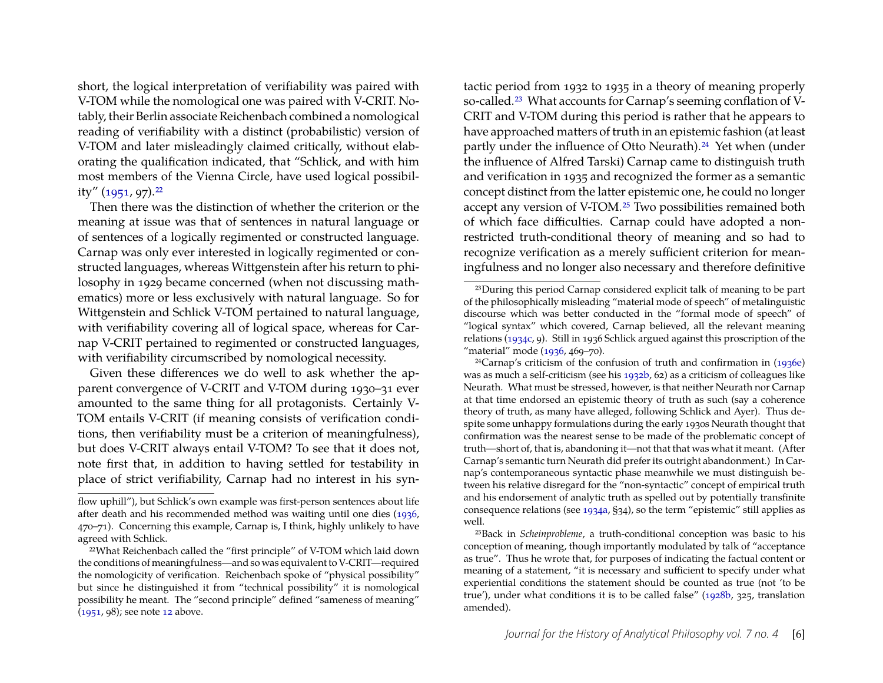short, the logical interpretation of verifiability was paired with V-TOM while the nomological one was paired with V-CRIT. Notably, their Berlin associate Reichenbach combined a nomological reading of verifiability with a distinct (probabilistic) version of V-TOM and later misleadingly claimed critically, without elaborating the qualification indicated, that "Schlick, and with him most members of the Vienna Circle, have used logical possibility"  $(1951, 97)$ .  $^{22}$  $^{22}$  $^{22}$ 

Then there was the distinction of whether the criterion or the meaning at issue was that of sentences in natural language or of sentences of a logically regimented or constructed language. Carnap was only ever interested in logically regimented or constructed languages, whereas Wittgenstein after his return to philosophy in 1929 became concerned (when not discussing mathematics) more or less exclusively with natural language. So for Wittgenstein and Schlick V-TOM pertained to natural language, with verifiability covering all of logical space, whereas for Carnap V-CRIT pertained to regimented or constructed languages, with verifiability circumscribed by nomological necessity.

Given these differences we do well to ask whether the apparent convergence of V-CRIT and V-TOM during 1930–31 ever amounted to the same thing for all protagonists. Certainly V-TOM entails V-CRIT (if meaning consists of verification conditions, then verifiability must be a criterion of meaningfulness), but does V-CRIT always entail V-TOM? To see that it does not, note first that, in addition to having settled for testability in place of strict verifiability, Carnap had no interest in his syn-

tactic period from 1932 to 1935 in a theory of meaning properly so-called.<sup>[23](#page-6-1)</sup> What accounts for Carnap's seeming conflation of V-CRIT and V-TOM during this period is rather that he appears to have approached matters of truth in an epistemic fashion (at least partly under the influence of Otto Neurath).<sup>24</sup> Yet when (under the influence of Alfred Tarski) Carnap came to distinguish truth and verification in 1935 and recognized the former as a semantic concept distinct from the latter epistemic one, he could no longer accept any version of V-TOM[.25](#page-6-3) Two possibilities remained both of which face difficulties. Carnap could have adopted a nonrestricted truth-conditional theory of meaning and so had to recognize verification as a merely sufficient criterion for meaningfulness and no longer also necessary and therefore definitive

<span id="page-6-2"></span>24Carnap's criticism of the confusion of truth and confirmation in [\(1936e\)](#page-27-5) was as much a self-criticism (see his [1932b,](#page-26-0) 62) as a criticism of colleagues like Neurath. What must be stressed, however, is that neither Neurath nor Carnap at that time endorsed an epistemic theory of truth as such (say a coherence theory of truth, as many have alleged, following Schlick and Ayer). Thus despite some unhappy formulations during the early 1930s Neurath thought that confirmation was the nearest sense to be made of the problematic concept of truth—short of, that is, abandoning it—not that that was what it meant. (After Carnap's semantic turn Neurath did prefer its outright abandonment.) In Carnap's contemporaneous syntactic phase meanwhile we must distinguish between his relative disregard for the "non-syntactic" concept of empirical truth and his endorsement of analytic truth as spelled out by potentially transfinite consequence relations (see [1934a,](#page-26-8) §34), so the term "epistemic" still applies as well.

<span id="page-6-3"></span>25Back in *Scheinprobleme*, a truth-conditional conception was basic to his conception of meaning, though importantly modulated by talk of "acceptance as true". Thus he wrote that, for purposes of indicating the factual content or meaning of a statement, "it is necessary and sufficient to specify under what experiential conditions the statement should be counted as true (not 'to be true'), under what conditions it is to be called false" [\(1928b,](#page-26-1) 325, translation amended).

flow uphill"), but Schlick's own example was first-person sentences about life after death and his recommended method was waiting until one dies [\(1936,](#page-31-4) 470–71). Concerning this example, Carnap is, I think, highly unlikely to have agreed with Schlick.

<span id="page-6-0"></span><sup>22</sup>What Reichenbach called the "first principle" of V-TOM which laid down the conditions of meaningfulness—and so was equivalent to V-CRIT—required the nomologicity of verification. Reichenbach spoke of "physical possibility" but since he distinguished it from "technical possibility" it is nomological possibility he meant. The "second principle" defined "sameness of meaning" [\(1951,](#page-30-5) 98); see note [12](#page-4-0) above.

<span id="page-6-1"></span><sup>23</sup>During this period Carnap considered explicit talk of meaning to be part of the philosophically misleading "material mode of speech" of metalinguistic discourse which was better conducted in the "formal mode of speech" of "logical syntax" which covered, Carnap believed, all the relevant meaning relations [\(1934c,](#page-26-2) 9). Still in 1936 Schlick argued against this proscription of the "material" mode [\(1936,](#page-31-4) 469-70).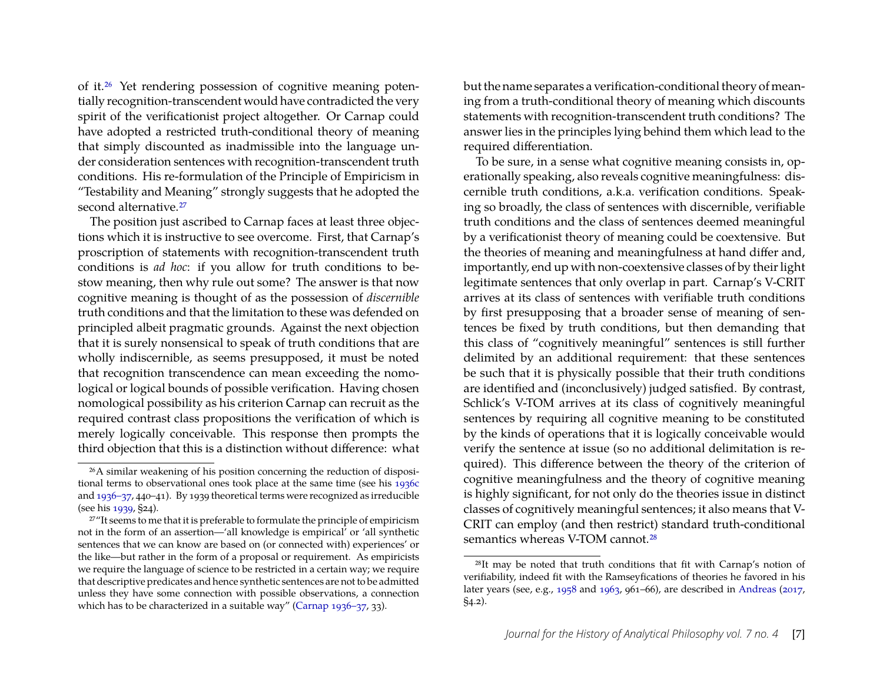of it[.26](#page-7-0) Yet rendering possession of cognitive meaning potentially recognition-transcendent would have contradicted the very spirit of the verificationist project altogether. Or Carnap could have adopted a restricted truth-conditional theory of meaning that simply discounted as inadmissible into the language under consideration sentences with recognition-transcendent truth conditions. His re-formulation of the Principle of Empiricism in "Testability and Meaning" strongly suggests that he adopted the second alternative.<sup>27</sup>

The position just ascribed to Carnap faces at least three objections which it is instructive to see overcome. First, that Carnap's proscription of statements with recognition-transcendent truth conditions is *ad hoc*: if you allow for truth conditions to bestow meaning, then why rule out some? The answer is that now cognitive meaning is thought of as the possession of *discernible* truth conditions and that the limitation to these was defended on principled albeit pragmatic grounds. Against the next objection that it is surely nonsensical to speak of truth conditions that are wholly indiscernible, as seems presupposed, it must be noted that recognition transcendence can mean exceeding the nomological or logical bounds of possible verification. Having chosen nomological possibility as his criterion Carnap can recruit as the required contrast class propositions the verification of which is merely logically conceivable. This response then prompts the third objection that this is a distinction without difference: what but the name separates a verification-conditional theory of meaning from a truth-conditional theory of meaning which discounts statements with recognition-transcendent truth conditions? The answer lies in the principles lying behind them which lead to the required differentiation.

To be sure, in a sense what cognitive meaning consists in, operationally speaking, also reveals cognitive meaningfulness: discernible truth conditions, a.k.a. verification conditions. Speaking so broadly, the class of sentences with discernible, verifiable truth conditions and the class of sentences deemed meaningful by a verificationist theory of meaning could be coextensive. But the theories of meaning and meaningfulness at hand differ and, importantly, end up with non-coextensive classes of by their light legitimate sentences that only overlap in part. Carnap's V-CRIT arrives at its class of sentences with verifiable truth conditions by first presupposing that a broader sense of meaning of sentences be fixed by truth conditions, but then demanding that this class of "cognitively meaningful" sentences is still further delimited by an additional requirement: that these sentences be such that it is physically possible that their truth conditions are identified and (inconclusively) judged satisfied. By contrast, Schlick's V-TOM arrives at its class of cognitively meaningful sentences by requiring all cognitive meaning to be constituted by the kinds of operations that it is logically conceivable would verify the sentence at issue (so no additional delimitation is required). This difference between the theory of the criterion of cognitive meaningfulness and the theory of cognitive meaning is highly significant, for not only do the theories issue in distinct classes of cognitively meaningful sentences; it also means that V-CRIT can employ (and then restrict) standard truth-conditional semantics whereas V-TOM cannot.<sup>28</sup>

<span id="page-7-0"></span><sup>26</sup>A similar weakening of his position concerning the reduction of dispositional terms to observational ones took place at the same time (see his [1936c](#page-26-9) and [1936–37,](#page-27-4) 440–41). By 1939 theoretical terms were recognized as irreducible (see his [1939,](#page-27-6) §24).

<span id="page-7-1"></span> $27$ "It seems to me that it is preferable to formulate the principle of empiricism not in the form of an assertion—'all knowledge is empirical' or 'all synthetic sentences that we can know are based on (or connected with) experiences' or the like—but rather in the form of a proposal or requirement. As empiricists we require the language of science to be restricted in a certain way; we require that descriptive predicates and hence synthetic sentences are not to be admitted unless they have some connection with possible observations, a connection which has to be characterized in a suitable way" [\(Carnap 1936–37,](#page-27-4) 33).

<span id="page-7-2"></span><sup>28</sup>It may be noted that truth conditions that fit with Carnap's notion of verifiability, indeed fit with the Ramseyfications of theories he favored in his later years (see, e.g., [1958](#page-27-7) and [1963,](#page-27-1) 961–66), are described in [Andreas](#page-26-10) [\(2017,](#page-26-10)  $\S$ 4.2).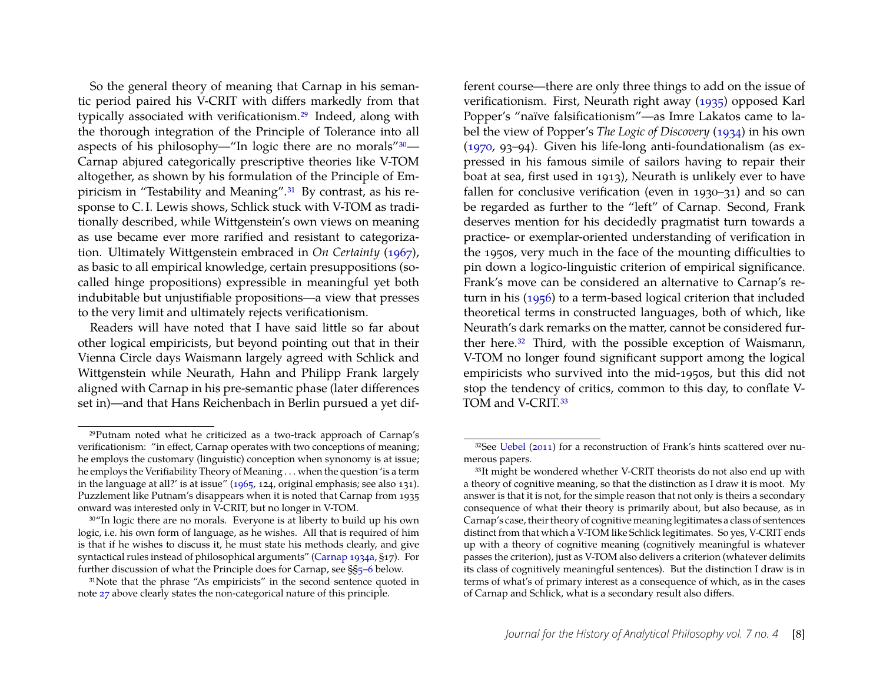So the general theory of meaning that Carnap in his semantic period paired his V-CRIT with differs markedly from that typically associated with verificationism.[29](#page-8-0) Indeed, along with the thorough integration of the Principle of Tolerance into all aspects of his philosophy—"In logic there are no morals"[30](#page-8-1)— Carnap abjured categorically prescriptive theories like V-TOM altogether, as shown by his formulation of the Principle of Empiricism in "Testability and Meaning".[31](#page-8-2) By contrast, as his response to C. I. Lewis shows, Schlick stuck with V-TOM as traditionally described, while Wittgenstein's own views on meaning as use became ever more rarified and resistant to categorization. Ultimately Wittgenstein embraced in *On Certainty* [\(1967\)](#page-31-8), as basic to all empirical knowledge, certain presuppositions (socalled hinge propositions) expressible in meaningful yet both indubitable but unjustifiable propositions—a view that presses to the very limit and ultimately rejects verificationism.

Readers will have noted that I have said little so far about other logical empiricists, but beyond pointing out that in their Vienna Circle days Waismann largely agreed with Schlick and Wittgenstein while Neurath, Hahn and Philipp Frank largely aligned with Carnap in his pre-semantic phase (later differences set in)—and that Hans Reichenbach in Berlin pursued a yet dif-

ferent course—there are only three things to add on the issue of verificationism. First, Neurath right away [\(1935\)](#page-29-8) opposed Karl Popper's "naïve falsificationism"—as Imre Lakatos came to label the view of Popper's *The Logic of Discovery* [\(1934\)](#page-29-3) in his own [\(1970,](#page-28-6) 93–94). Given his life-long anti-foundationalism (as expressed in his famous simile of sailors having to repair their boat at sea, first used in 1913), Neurath is unlikely ever to have fallen for conclusive verification (even in 1930–31) and so can be regarded as further to the "left" of Carnap. Second, Frank deserves mention for his decidedly pragmatist turn towards a practice- or exemplar-oriented understanding of verification in the 1950s, very much in the face of the mounting difficulties to pin down a logico-linguistic criterion of empirical significance. Frank's move can be considered an alternative to Carnap's return in his [\(1956\)](#page-27-8) to a term-based logical criterion that included theoretical terms in constructed languages, both of which, like Neurath's dark remarks on the matter, cannot be considered fur-ther here.<sup>[32](#page-8-3)</sup> Third, with the possible exception of Waismann, V-TOM no longer found significant support among the logical empiricists who survived into the mid-1950s, but this did not stop the tendency of critics, common to this day, to conflate V-TOM and V-CRIT.<sup>[33](#page-8-4)</sup>

<span id="page-8-0"></span><sup>29</sup>Putnam noted what he criticized as a two-track approach of Carnap's verificationism: "in effect, Carnap operates with two conceptions of meaning; he employs the customary (linguistic) conception when synonomy is at issue; he employs the Verifiability Theory of Meaning . . . when the question 'is a term in the language at all?' is at issue" [\(1965,](#page-29-7) 124, original emphasis; see also 131). Puzzlement like Putnam's disappears when it is noted that Carnap from 1935 onward was interested only in V-CRIT, but no longer in V-TOM.

<span id="page-8-1"></span><sup>30</sup>"In logic there are no morals. Everyone is at liberty to build up his own logic, i.e. his own form of language, as he wishes. All that is required of him is that if he wishes to discuss it, he must state his methods clearly, and give syntactical rules instead of philosophical arguments" [\(Carnap 1934a,](#page-26-8) §17). For further discussion of what the Principle does for Carnap, see §[§5–](#page-16-0)[6](#page-19-0) below.

<span id="page-8-2"></span><sup>31</sup>Note that the phrase "As empiricists" in the second sentence quoted in note [27](#page-7-1) above clearly states the non-categorical nature of this principle.

<span id="page-8-3"></span><sup>32</sup>See [Uebel](#page-31-7) [\(2011\)](#page-31-7) for a reconstruction of Frank's hints scattered over numerous papers.

<span id="page-8-4"></span><sup>&</sup>lt;sup>33</sup>It might be wondered whether V-CRIT theorists do not also end up with a theory of cognitive meaning, so that the distinction as I draw it is moot. My answer is that it is not, for the simple reason that not only is theirs a secondary consequence of what their theory is primarily about, but also because, as in Carnap's case, their theory of cognitive meaning legitimates a class of sentences distinct from that which a V-TOM like Schlick legitimates. So yes, V-CRIT ends up with a theory of cognitive meaning (cognitively meaningful is whatever passes the criterion), just as V-TOM also delivers a criterion (whatever delimits its class of cognitively meaningful sentences). But the distinction I draw is in terms of what's of primary interest as a consequence of which, as in the cases of Carnap and Schlick, what is a secondary result also differs.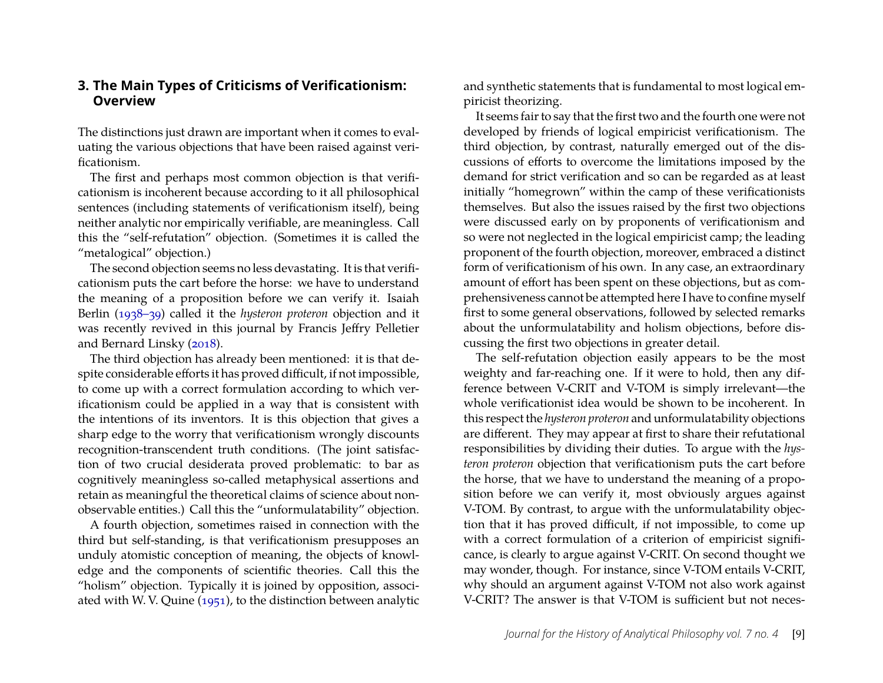#### <span id="page-9-0"></span>**3. The Main Types of Criticisms of Verificationism: Overview**

The distinctions just drawn are important when it comes to evaluating the various objections that have been raised against verificationism.

The first and perhaps most common objection is that verificationism is incoherent because according to it all philosophical sentences (including statements of verificationism itself), being neither analytic nor empirically verifiable, are meaningless. Call this the "self-refutation" objection. (Sometimes it is called the "metalogical" objection.)

The second objection seems no less devastating. It is that verificationism puts the cart before the horse: we have to understand the meaning of a proposition before we can verify it. Isaiah Berlin [\(1938–39\)](#page-26-11) called it the *hysteron proteron* objection and it was recently revived in this journal by Francis Jeffry Pelletier and Bernard Linsky [\(2018\)](#page-29-9).

The third objection has already been mentioned: it is that despite considerable efforts it has proved difficult, if not impossible, to come up with a correct formulation according to which verificationism could be applied in a way that is consistent with the intentions of its inventors. It is this objection that gives a sharp edge to the worry that verificationism wrongly discounts recognition-transcendent truth conditions. (The joint satisfaction of two crucial desiderata proved problematic: to bar as cognitively meaningless so-called metaphysical assertions and retain as meaningful the theoretical claims of science about nonobservable entities.) Call this the "unformulatability" objection.

A fourth objection, sometimes raised in connection with the third but self-standing, is that verificationism presupposes an unduly atomistic conception of meaning, the objects of knowledge and the components of scientific theories. Call this the "holism" objection. Typically it is joined by opposition, associated with W. V. Quine [\(1951\)](#page-30-9), to the distinction between analytic and synthetic statements that is fundamental to most logical empiricist theorizing.

It seems fair to say that the first two and the fourth one were not developed by friends of logical empiricist verificationism. The third objection, by contrast, naturally emerged out of the discussions of efforts to overcome the limitations imposed by the demand for strict verification and so can be regarded as at least initially "homegrown" within the camp of these verificationists themselves. But also the issues raised by the first two objections were discussed early on by proponents of verificationism and so were not neglected in the logical empiricist camp; the leading proponent of the fourth objection, moreover, embraced a distinct form of verificationism of his own. In any case, an extraordinary amount of effort has been spent on these objections, but as comprehensiveness cannot be attempted here I have to confine myself first to some general observations, followed by selected remarks about the unformulatability and holism objections, before discussing the first two objections in greater detail.

The self-refutation objection easily appears to be the most weighty and far-reaching one. If it were to hold, then any difference between V-CRIT and V-TOM is simply irrelevant—the whole verificationist idea would be shown to be incoherent. In this respect the *hysteron proteron* and unformulatability objections are different. They may appear at first to share their refutational responsibilities by dividing their duties. To argue with the *hysteron proteron* objection that verificationism puts the cart before the horse, that we have to understand the meaning of a proposition before we can verify it, most obviously argues against V-TOM. By contrast, to argue with the unformulatability objection that it has proved difficult, if not impossible, to come up with a correct formulation of a criterion of empiricist significance, is clearly to argue against V-CRIT. On second thought we may wonder, though. For instance, since V-TOM entails V-CRIT, why should an argument against V-TOM not also work against V-CRIT? The answer is that V-TOM is sufficient but not neces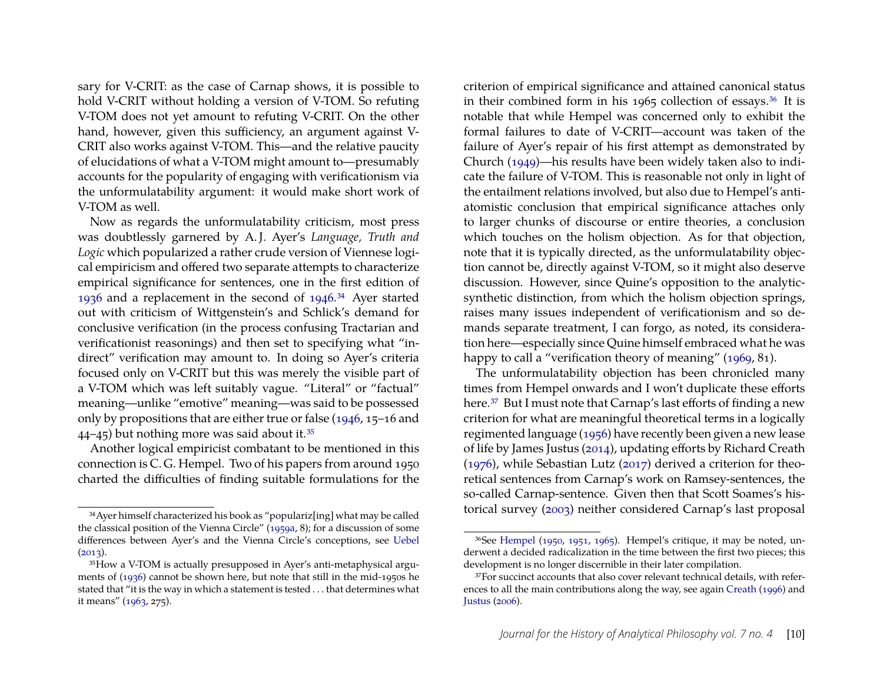sary for V-CRIT: as the case of Carnap shows, it is possible to hold V-CRIT without holding a version of V-TOM. So refuting V-TOM does not yet amount to refuting V-CRIT. On the other hand, however, given this sufficiency, an argument against V-CRIT also works against V-TOM. This—and the relative paucity of elucidations of what a V-TOM might amount to—presumably accounts for the popularity of engaging with verificationism via the unformulatability argument: it would make short work of V-TOM as well.

Now as regards the unformulatability criticism, most press was doubtlessly garnered by A. J. Ayer's *Language, Truth and Logic* which popularized a rather crude version of Viennese logical empiricism and offered two separate attempts to characterize empirical significance for sentences, one in the first edition of [1936](#page-26-3) and a replacement in the second of [1946.](#page-26-12)[34](#page-10-0) Ayer started out with criticism of Wittgenstein's and Schlick's demand for conclusive verification (in the process confusing Tractarian and verificationist reasonings) and then set to specifying what "indirect" verification may amount to. In doing so Ayer's criteria focused only on V-CRIT but this was merely the visible part of a V-TOM which was left suitably vague. "Literal" or "factual" meaning—unlike "emotive" meaning—was said to be possessed only by propositions that are either true or false [\(1946,](#page-26-12) 15–16 and  $(44-45)$  but nothing more was said about it.<sup>[35](#page-10-1)</sup>

Another logical empiricist combatant to be mentioned in this connection is C. G. Hempel. Two of his papers from around 1950 charted the difficulties of finding suitable formulations for the

criterion of empirical significance and attained canonical status in their combined form in his 1965 collection of essays.[36](#page-10-2) It is notable that while Hempel was concerned only to exhibit the formal failures to date of V-CRIT—account was taken of the failure of Ayer's repair of his first attempt as demonstrated by Church [\(1949\)](#page-27-9)—his results have been widely taken also to indicate the failure of V-TOM. This is reasonable not only in light of the entailment relations involved, but also due to Hempel's antiatomistic conclusion that empirical significance attaches only to larger chunks of discourse or entire theories, a conclusion which touches on the holism objection. As for that objection, note that it is typically directed, as the unformulatability objection cannot be, directly against V-TOM, so it might also deserve discussion. However, since Quine's opposition to the analyticsynthetic distinction, from which the holism objection springs, raises many issues independent of verificationism and so demands separate treatment, I can forgo, as noted, its consideration here—especially since Quine himself embraced what he was happy to call a "verification theory of meaning" [\(1969,](#page-30-10) 81).

The unformulatability objection has been chronicled many times from Hempel onwards and I won't duplicate these efforts here.<sup>[37](#page-10-3)</sup> But I must note that Carnap's last efforts of finding a new criterion for what are meaningful theoretical terms in a logically regimented language [\(1956\)](#page-27-8) have recently been given a new lease of life by James Justus [\(2014\)](#page-28-7), updating efforts by Richard Creath [\(1976\)](#page-27-10), while Sebastian Lutz [\(2017\)](#page-28-8) derived a criterion for theoretical sentences from Carnap's work on Ramsey-sentences, the so-called Carnap-sentence. Given then that Scott Soames's historical survey [\(2003\)](#page-31-10) neither considered Carnap's last proposal

<span id="page-10-0"></span><sup>34</sup>Ayer himself characterized his book as "populariz[ing] what may be called the classical position of the Vienna Circle" [\(1959a,](#page-26-13) 8); for a discussion of some differences between Ayer's and the Vienna Circle's conceptions, see [Uebel](#page-31-9)  $(2013).$  $(2013).$ 

<span id="page-10-1"></span><sup>35</sup>How a V-TOM is actually presupposed in Ayer's anti-metaphysical arguments of [\(1936\)](#page-26-3) cannot be shown here, but note that still in the mid-1950s he stated that "it is the way in which a statement is tested . . . that determines what it means" [\(1963,](#page-26-14) 275).

<span id="page-10-2"></span><sup>36</sup>See [Hempel](#page-28-9) [\(1950,](#page-28-9) [1951,](#page-28-10) [1965\)](#page-28-11). Hempel's critique, it may be noted, underwent a decided radicalization in the time between the first two pieces; this development is no longer discernible in their later compilation.

<span id="page-10-3"></span><sup>&</sup>lt;sup>37</sup>For succinct accounts that also cover relevant technical details, with references to all the main contributions along the way, see again [Creath](#page-27-2) [\(1996\)](#page-27-2) and [Justus](#page-28-3) [\(2006\)](#page-28-3).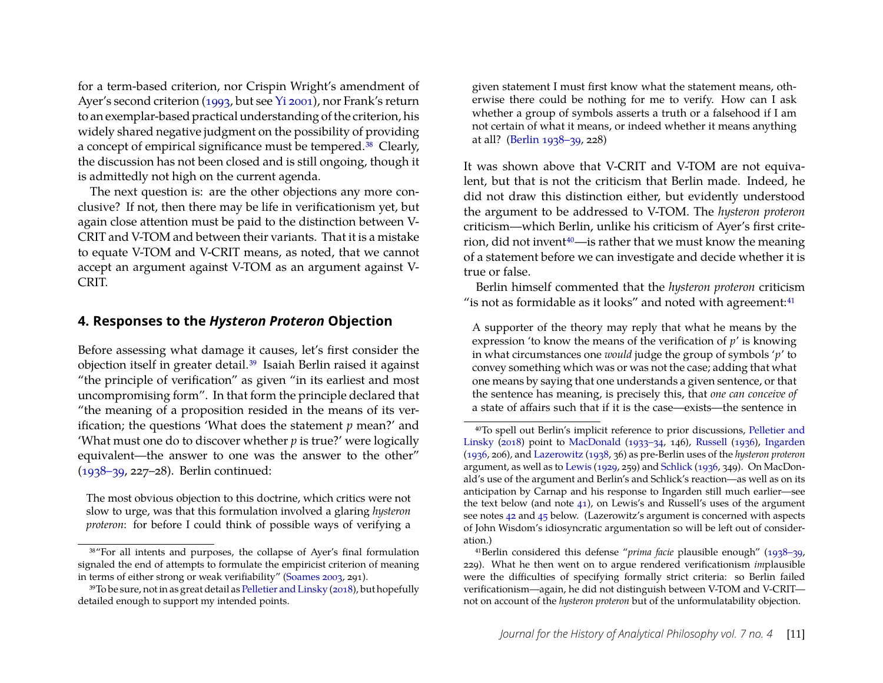for a term-based criterion, nor Crispin Wright's amendment of Ayer's second criterion [\(1993,](#page-31-11) but see [Yi 2001\)](#page-31-12), nor Frank's return to an exemplar-based practical understanding of the criterion, his widely shared negative judgment on the possibility of providing a concept of empirical significance must be tempered.[38](#page-11-0) Clearly, the discussion has not been closed and is still ongoing, though it is admittedly not high on the current agenda.

The next question is: are the other objections any more conclusive? If not, then there may be life in verificationism yet, but again close attention must be paid to the distinction between V-CRIT and V-TOM and between their variants. That it is a mistake to equate V-TOM and V-CRIT means, as noted, that we cannot accept an argument against V-TOM as an argument against V-CRIT.

#### **4. Responses to the** *Hysteron Proteron* **Objection**

Before assessing what damage it causes, let's first consider the objection itself in greater detail.[39](#page-11-1) Isaiah Berlin raised it against "the principle of verification" as given "in its earliest and most uncompromising form". In that form the principle declared that "the meaning of a proposition resided in the means of its verification; the questions 'What does the statement *p* mean?' and 'What must one do to discover whether *p* is true?' were logically equivalent—the answer to one was the answer to the other" [\(1938–39,](#page-26-11) 227–28). Berlin continued:

The most obvious objection to this doctrine, which critics were not slow to urge, was that this formulation involved a glaring *hysteron proteron*: for before I could think of possible ways of verifying a

given statement I must first know what the statement means, otherwise there could be nothing for me to verify. How can I ask whether a group of symbols asserts a truth or a falsehood if I am not certain of what it means, or indeed whether it means anything at all? [\(Berlin 1938–39,](#page-26-11) 228)

It was shown above that V-CRIT and V-TOM are not equivalent, but that is not the criticism that Berlin made. Indeed, he did not draw this distinction either, but evidently understood the argument to be addressed to V-TOM. The *hysteron proteron* criticism—which Berlin, unlike his criticism of Ayer's first criterion, did not invent<sup> $40$ </sup>—is rather that we must know the meaning of a statement before we can investigate and decide whether it is true or false.

Berlin himself commented that the *hysteron proteron* criticism "is not as formidable as it looks" and noted with agreement: $41$ 

A supporter of the theory may reply that what he means by the expression 'to know the means of the verification of *p*' is knowing in what circumstances one *would* judge the group of symbols '*p*' to convey something which was or was not the case; adding that what one means by saying that one understands a given sentence, or that the sentence has meaning, is precisely this, that *one can conceive of* a state of affairs such that if it is the case—exists—the sentence in

<span id="page-11-0"></span><sup>38</sup>"For all intents and purposes, the collapse of Ayer's final formulation signaled the end of attempts to formulate the empiricist criterion of meaning in terms of either strong or weak verifiability" [\(Soames 2003,](#page-31-10) 291).

<span id="page-11-1"></span><sup>39</sup>To be sure, not in as great detail as [Pelletier and Linsky](#page-29-9) [\(2018\)](#page-29-9), but hopefully detailed enough to support my intended points.

<span id="page-11-2"></span><sup>40</sup>To spell out Berlin's implicit reference to prior discussions, [Pelletier and](#page-29-9) [Linsky](#page-29-9) [\(2018\)](#page-29-9) point to [MacDonald](#page-29-10) [\(1933–34,](#page-29-10) 146), [Russell](#page-30-11) [\(1936\)](#page-30-11), [Ingarden](#page-28-12) [\(1936,](#page-28-12) 206), and [Lazerowitz](#page-28-13) [\(1938,](#page-28-13) 36) as pre-Berlin uses of the *hysteron proteron* argument, as well as to [Lewis](#page-28-14) [\(1929,](#page-28-14) 259) and [Schlick](#page-31-4) [\(1936,](#page-31-4) 349). On MacDonald's use of the argument and Berlin's and Schlick's reaction—as well as on its anticipation by Carnap and his response to Ingarden still much earlier—see the text below (and note [41\)](#page-11-3), on Lewis's and Russell's uses of the argument see notes [42](#page-12-0) and [45](#page-13-0) below. (Lazerowitz's argument is concerned with aspects of John Wisdom's idiosyncratic argumentation so will be left out of consideration.)

<span id="page-11-3"></span><sup>41</sup>Berlin considered this defense "*prima facie* plausible enough" [\(1938–39,](#page-26-11) 229). What he then went on to argue rendered verificationism *im*plausible were the difficulties of specifying formally strict criteria: so Berlin failed verificationism—again, he did not distinguish between V-TOM and V-CRIT not on account of the *hysteron proteron* but of the unformulatability objection.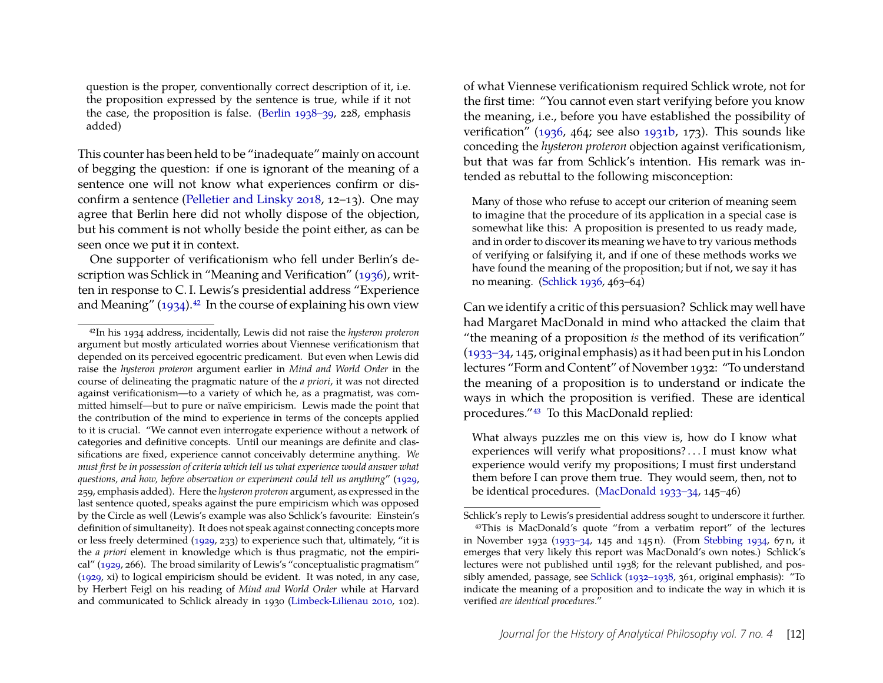question is the proper, conventionally correct description of it, i.e. the proposition expressed by the sentence is true, while if it not the case, the proposition is false. [\(Berlin](#page-26-11) [1938–39,](#page-26-11) 228, emphasis added)

This counter has been held to be "inadequate" mainly on account of begging the question: if one is ignorant of the meaning of a sentence one will not know what experiences confirm or disconfirm a sentence [\(Pelletier and Linsky 2018,](#page-29-9) 12–13). One may agree that Berlin here did not wholly dispose of the objection, but his comment is not wholly beside the point either, as can be seen once we put it in context.

One supporter of verificationism who fell under Berlin's de-scription was Schlick in "Meaning and Verification" [\(1936\)](#page-31-4), written in response to C. I. Lewis's presidential address "Experience and Meaning" [\(1934\)](#page-28-0).<sup>[42](#page-12-0)</sup> In the course of explaining his own view of what Viennese verificationism required Schlick wrote, not for the first time: "You cannot even start verifying before you know the meaning, i.e., before you have established the possibility of verification" [\(1936,](#page-31-4) 464; see also [1931b,](#page-30-12) 173). This sounds like conceding the *hysteron proteron* objection against verificationism, but that was far from Schlick's intention. His remark was intended as rebuttal to the following misconception:

Many of those who refuse to accept our criterion of meaning seem to imagine that the procedure of its application in a special case is somewhat like this: A proposition is presented to us ready made, and in order to discover its meaning we have to try various methods of verifying or falsifying it, and if one of these methods works we have found the meaning of the proposition; but if not, we say it has no meaning. [\(Schlick 1936,](#page-31-4) 463–64)

Can we identify a critic of this persuasion? Schlick may well have had Margaret MacDonald in mind who attacked the claim that "the meaning of a proposition *is* the method of its verification" [\(1933–34,](#page-29-10) 145, original emphasis) as it had been put in his London lectures "Form and Content" of November 1932: "To understand the meaning of a proposition is to understand or indicate the ways in which the proposition is verified. These are identical procedures."[43](#page-12-1) To this MacDonald replied:

What always puzzles me on this view is, how do I know what experiences will verify what propositions? . . . I must know what experience would verify my propositions; I must first understand them before I can prove them true. They would seem, then, not to be identical procedures. [\(MacDonald 1933–34,](#page-29-10) 145–46)

verified *are identical procedures*."

<span id="page-12-0"></span><sup>42</sup>In his 1934 address, incidentally, Lewis did not raise the *hysteron proteron* argument but mostly articulated worries about Viennese verificationism that depended on its perceived egocentric predicament. But even when Lewis did raise the *hysteron proteron* argument earlier in *Mind and World Order* in the course of delineating the pragmatic nature of the *a priori*, it was not directed against verificationism—to a variety of which he, as a pragmatist, was committed himself—but to pure or naïve empiricism. Lewis made the point that the contribution of the mind to experience in terms of the concepts applied to it is crucial. "We cannot even interrogate experience without a network of categories and definitive concepts. Until our meanings are definite and classifications are fixed, experience cannot conceivably determine anything. *We must first be in possession of criteria which tell us what experience would answer what questions, and how, before observation or experiment could tell us anything*" [\(1929,](#page-28-14) 259, emphasis added). Here the *hysteron proteron* argument, as expressed in the last sentence quoted, speaks against the pure empiricism which was opposed by the Circle as well (Lewis's example was also Schlick's favourite: Einstein's definition of simultaneity). It does not speak against connecting concepts more or less freely determined [\(1929,](#page-28-14) 233) to experience such that, ultimately, "it is the *a priori* element in knowledge which is thus pragmatic, not the empirical" [\(1929,](#page-28-14) 266). The broad similarity of Lewis's "conceptualistic pragmatism" [\(1929,](#page-28-14) xi) to logical empiricism should be evident. It was noted, in any case, by Herbert Feigl on his reading of *Mind and World Order* while at Harvard and communicated to Schlick already in 1930 [\(Limbeck-Lilienau 2010,](#page-28-15) 102).

<span id="page-12-1"></span>Schlick's reply to Lewis's presidential address sought to underscore it further. 43This is MacDonald's quote "from a verbatim report" of the lectures in November 1932 [\(1933–34,](#page-29-10) 145 and 145 n). (From [Stebbing 1934,](#page-31-13) 67 n, it emerges that very likely this report was MacDonald's own notes.) Schlick's lectures were not published until 1938; for the relevant published, and possibly amended, passage, see [Schlick](#page-31-3) [\(1932–1938,](#page-31-3) 361, original emphasis): "To indicate the meaning of a proposition and to indicate the way in which it is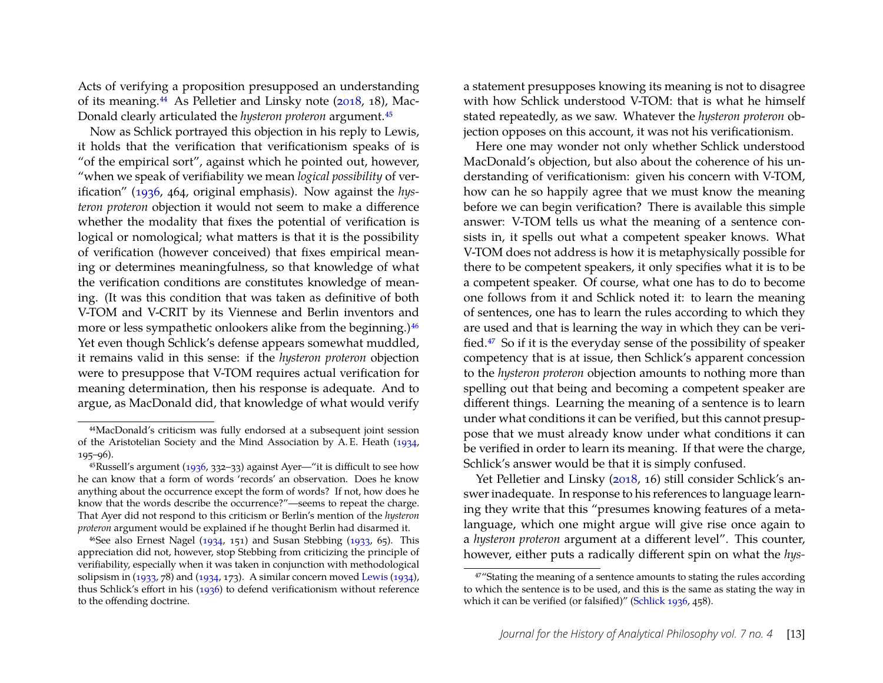Acts of verifying a proposition presupposed an understanding of its meaning.[44](#page-13-1) As Pelletier and Linsky note [\(2018,](#page-29-9) 18), Mac-Donald clearly articulated the *hysteron proteron* argument.[45](#page-13-0)

Now as Schlick portrayed this objection in his reply to Lewis, it holds that the verification that verificationism speaks of is "of the empirical sort", against which he pointed out, however, "when we speak of verifiability we mean *logical possibility* of verification" [\(1936,](#page-31-4) 464, original emphasis). Now against the *hysteron proteron* objection it would not seem to make a difference whether the modality that fixes the potential of verification is logical or nomological; what matters is that it is the possibility of verification (however conceived) that fixes empirical meaning or determines meaningfulness, so that knowledge of what the verification conditions are constitutes knowledge of meaning. (It was this condition that was taken as definitive of both V-TOM and V-CRIT by its Viennese and Berlin inventors and more or less sympathetic onlookers alike from the beginning.)<sup>[46](#page-13-2)</sup> Yet even though Schlick's defense appears somewhat muddled, it remains valid in this sense: if the *hysteron proteron* objection were to presuppose that V-TOM requires actual verification for meaning determination, then his response is adequate. And to argue, as MacDonald did, that knowledge of what would verify a statement presupposes knowing its meaning is not to disagree with how Schlick understood V-TOM: that is what he himself stated repeatedly, as we saw. Whatever the *hysteron proteron* objection opposes on this account, it was not his verificationism.

Here one may wonder not only whether Schlick understood MacDonald's objection, but also about the coherence of his understanding of verificationism: given his concern with V-TOM, how can he so happily agree that we must know the meaning before we can begin verification? There is available this simple answer: V-TOM tells us what the meaning of a sentence consists in, it spells out what a competent speaker knows. What V-TOM does not address is how it is metaphysically possible for there to be competent speakers, it only specifies what it is to be a competent speaker. Of course, what one has to do to become one follows from it and Schlick noted it: to learn the meaning of sentences, one has to learn the rules according to which they are used and that is learning the way in which they can be verified.[47](#page-13-3) So if it is the everyday sense of the possibility of speaker competency that is at issue, then Schlick's apparent concession to the *hysteron proteron* objection amounts to nothing more than spelling out that being and becoming a competent speaker are different things. Learning the meaning of a sentence is to learn under what conditions it can be verified, but this cannot presuppose that we must already know under what conditions it can be verified in order to learn its meaning. If that were the charge, Schlick's answer would be that it is simply confused.

Yet Pelletier and Linsky [\(2018,](#page-29-9) 16) still consider Schlick's answer inadequate. In response to his references to language learning they write that this "presumes knowing features of a metalanguage, which one might argue will give rise once again to a *hysteron proteron* argument at a different level". This counter, however, either puts a radically different spin on what the *hys-*

<span id="page-13-1"></span><sup>44</sup>MacDonald's criticism was fully endorsed at a subsequent joint session of the Aristotelian Society and the Mind Association by A. E. Heath [\(1934,](#page-28-16) 195–96).

<span id="page-13-0"></span><sup>45</sup>Russell's argument [\(1936,](#page-30-11) 332–33) against Ayer—"it is difficult to see how he can know that a form of words 'records' an observation. Does he know anything about the occurrence except the form of words? If not, how does he know that the words describe the occurrence?"—seems to repeat the charge. That Ayer did not respond to this criticism or Berlin's mention of the *hysteron proteron* argument would be explained if he thought Berlin had disarmed it.

<span id="page-13-2"></span> $46$ See also Ernest Nagel [\(1934,](#page-29-11) 151) and Susan Stebbing [\(1933,](#page-31-14) 65). This appreciation did not, however, stop Stebbing from criticizing the principle of verifiability, especially when it was taken in conjunction with methodological solipsism in [\(1933,](#page-31-14) 78) and [\(1934,](#page-31-13) 173). A similar concern moved [Lewis](#page-28-0) [\(1934\)](#page-28-0), thus Schlick's effort in his [\(1936\)](#page-31-4) to defend verificationism without reference to the offending doctrine.

<span id="page-13-3"></span><sup>47</sup>"Stating the meaning of a sentence amounts to stating the rules according to which the sentence is to be used, and this is the same as stating the way in which it can be verified (or falsified)" [\(Schlick 1936,](#page-31-4) 458).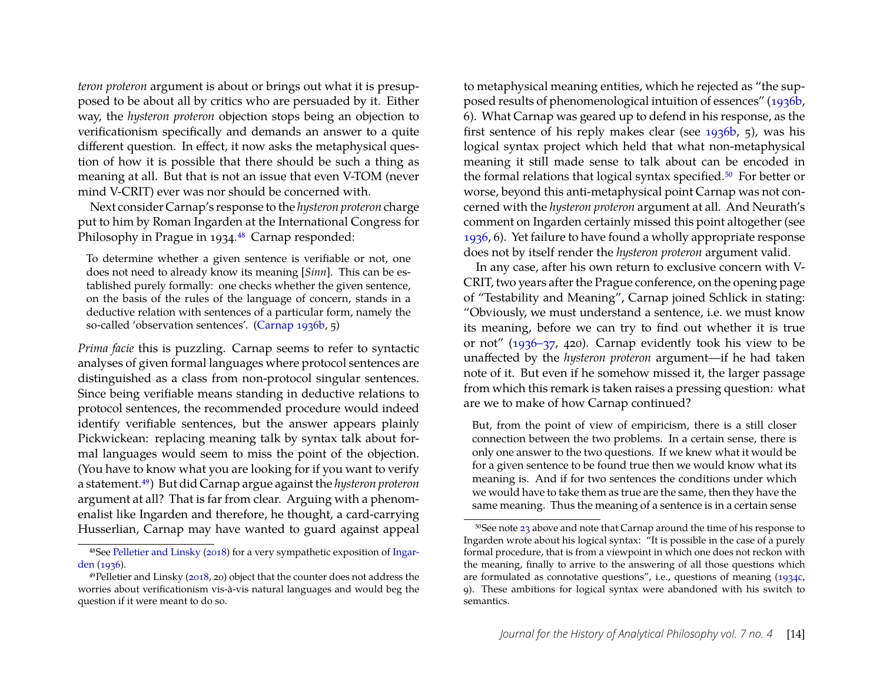*teron proteron* argument is about or brings out what it is presupposed to be about all by critics who are persuaded by it. Either way, the *hysteron proteron* objection stops being an objection to verificationism specifically and demands an answer to a quite different question. In effect, it now asks the metaphysical question of how it is possible that there should be such a thing as meaning at all. But that is not an issue that even V-TOM (never mind V-CRIT) ever was nor should be concerned with.

Next consider Carnap's response to the *hysteron proteron* charge put to him by Roman Ingarden at the International Congress for Philosophy in Prague in 1934.[48](#page-14-0) Carnap responded:

To determine whether a given sentence is verifiable or not, one does not need to already know its meaning [*Sinn*]. This can be established purely formally: one checks whether the given sentence, on the basis of the rules of the language of concern, stands in a deductive relation with sentences of a particular form, namely the so-called 'observation sentences'. [\(Carnap 1936b,](#page-26-15) 5)

*Prima facie* this is puzzling. Carnap seems to refer to syntactic analyses of given formal languages where protocol sentences are distinguished as a class from non-protocol singular sentences. Since being verifiable means standing in deductive relations to protocol sentences, the recommended procedure would indeed identify verifiable sentences, but the answer appears plainly Pickwickean: replacing meaning talk by syntax talk about formal languages would seem to miss the point of the objection. (You have to know what you are looking for if you want to verify a statement.[49](#page-14-1)) But did Carnap argue against the *hysteron proteron* argument at all? That is far from clear. Arguing with a phenomenalist like Ingarden and therefore, he thought, a card-carrying Husserlian, Carnap may have wanted to guard against appeal

to metaphysical meaning entities, which he rejected as "the supposed results of phenomenological intuition of essences" [\(1936b,](#page-26-15) 6). What Carnap was geared up to defend in his response, as the first sentence of his reply makes clear (see [1936b,](#page-26-15) 5), was his logical syntax project which held that what non-metaphysical meaning it still made sense to talk about can be encoded in the formal relations that logical syntax specified.<sup>[50](#page-14-2)</sup> For better or worse, beyond this anti-metaphysical point Carnap was not concerned with the *hysteron proteron* argument at all. And Neurath's comment on Ingarden certainly missed this point altogether (see [1936,](#page-29-12) 6). Yet failure to have found a wholly appropriate response does not by itself render the *hysteron proteron* argument valid.

In any case, after his own return to exclusive concern with V-CRIT, two years after the Prague conference, on the opening page of "Testability and Meaning", Carnap joined Schlick in stating: "Obviously, we must understand a sentence, i.e. we must know its meaning, before we can try to find out whether it is true or not" [\(1936–37,](#page-27-4) 420). Carnap evidently took his view to be unaffected by the *hysteron proteron* argument—if he had taken note of it. But even if he somehow missed it, the larger passage from which this remark is taken raises a pressing question: what are we to make of how Carnap continued?

But, from the point of view of empiricism, there is a still closer connection between the two problems. In a certain sense, there is only one answer to the two questions. If we knew what it would be for a given sentence to be found true then we would know what its meaning is. And if for two sentences the conditions under which we would have to take them as true are the same, then they have the same meaning. Thus the meaning of a sentence is in a certain sense

<span id="page-14-0"></span><sup>48</sup>See [Pelletier and Linsky](#page-29-9) [\(2018\)](#page-29-9) for a very sympathetic exposition of [Ingar](#page-28-12)[den](#page-28-12) [\(1936\)](#page-28-12).

<span id="page-14-1"></span><sup>49</sup>Pelletier and Linsky [\(2018,](#page-29-9) 20) object that the counter does not address the worries about verificationism vis-à-vis natural languages and would beg the question if it were meant to do so.

<span id="page-14-2"></span> $50$ See note [23](#page-6-1) above and note that Carnap around the time of his response to Ingarden wrote about his logical syntax: "It is possible in the case of a purely formal procedure, that is from a viewpoint in which one does not reckon with the meaning, finally to arrive to the answering of all those questions which are formulated as connotative questions", i.e., questions of meaning [\(1934c,](#page-26-2) 9). These ambitions for logical syntax were abandoned with his switch to semantics.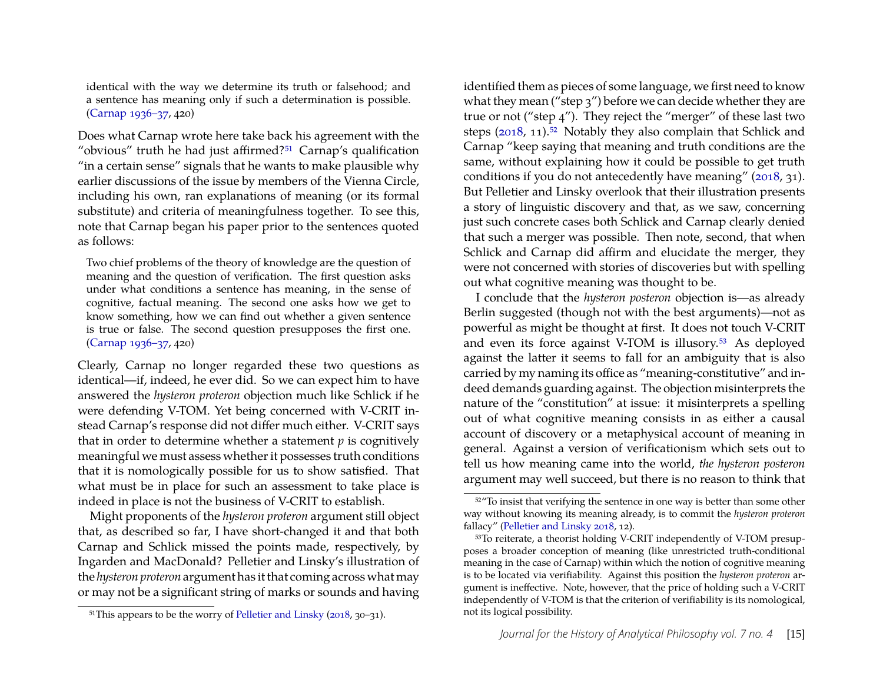identical with the way we determine its truth or falsehood; and a sentence has meaning only if such a determination is possible. [\(Carnap](#page-27-4) [1936–37,](#page-27-4) 420)

Does what Carnap wrote here take back his agreement with the "obvious" truth he had just affirmed?<sup>[51](#page-15-0)</sup> Carnap's qualification "in a certain sense" signals that he wants to make plausible why earlier discussions of the issue by members of the Vienna Circle, including his own, ran explanations of meaning (or its formal substitute) and criteria of meaningfulness together. To see this, note that Carnap began his paper prior to the sentences quoted as follows:

Two chief problems of the theory of knowledge are the question of meaning and the question of verification. The first question asks under what conditions a sentence has meaning, in the sense of cognitive, factual meaning. The second one asks how we get to know something, how we can find out whether a given sentence is true or false. The second question presupposes the first one. [\(Carnap 1936–37,](#page-27-4) 420)

Clearly, Carnap no longer regarded these two questions as identical—if, indeed, he ever did. So we can expect him to have answered the *hysteron proteron* objection much like Schlick if he were defending V-TOM. Yet being concerned with V-CRIT instead Carnap's response did not differ much either. V-CRIT says that in order to determine whether a statement  $p$  is cognitively meaningful we must assess whether it possesses truth conditions that it is nomologically possible for us to show satisfied. That what must be in place for such an assessment to take place is indeed in place is not the business of V-CRIT to establish.

Might proponents of the *hysteron proteron* argument still object that, as described so far, I have short-changed it and that both Carnap and Schlick missed the points made, respectively, by Ingarden and MacDonald? Pelletier and Linsky's illustration of the *hysteron proteron* argument has it that coming across what may or may not be a significant string of marks or sounds and having

identified them as pieces of some language, we first need to know what they mean ("step 3") before we can decide whether they are true or not ("step 4"). They reject the "merger" of these last two steps [\(2018,](#page-29-9) 11).<sup>[52](#page-15-1)</sup> Notably they also complain that Schlick and Carnap "keep saying that meaning and truth conditions are the same, without explaining how it could be possible to get truth conditions if you do not antecedently have meaning" [\(2018,](#page-29-9) 31). But Pelletier and Linsky overlook that their illustration presents a story of linguistic discovery and that, as we saw, concerning just such concrete cases both Schlick and Carnap clearly denied that such a merger was possible. Then note, second, that when Schlick and Carnap did affirm and elucidate the merger, they were not concerned with stories of discoveries but with spelling out what cognitive meaning was thought to be.

I conclude that the *hysteron posteron* objection is—as already Berlin suggested (though not with the best arguments)—not as powerful as might be thought at first. It does not touch V-CRIT and even its force against V-TOM is illusory.[53](#page-15-2) As deployed against the latter it seems to fall for an ambiguity that is also carried by my naming its office as "meaning-constitutive" and indeed demands guarding against. The objection misinterprets the nature of the "constitution" at issue: it misinterprets a spelling out of what cognitive meaning consists in as either a causal account of discovery or a metaphysical account of meaning in general. Against a version of verificationism which sets out to tell us how meaning came into the world, *the hysteron posteron* argument may well succeed, but there is no reason to think that

<span id="page-15-0"></span><sup>51</sup>This appears to be the worry of [Pelletier and Linsky](#page-29-9) [\(2018,](#page-29-9) 30–31).

<span id="page-15-1"></span><sup>52</sup>"To insist that verifying the sentence in one way is better than some other way without knowing its meaning already, is to commit the *hysteron proteron* fallacy" [\(Pelletier and Linsky 2018,](#page-29-9) 12).

<span id="page-15-2"></span><sup>53</sup>To reiterate, a theorist holding V-CRIT independently of V-TOM presupposes a broader conception of meaning (like unrestricted truth-conditional meaning in the case of Carnap) within which the notion of cognitive meaning is to be located via verifiability. Against this position the *hysteron proteron* argument is ineffective. Note, however, that the price of holding such a V-CRIT independently of V-TOM is that the criterion of verifiability is its nomological, not its logical possibility.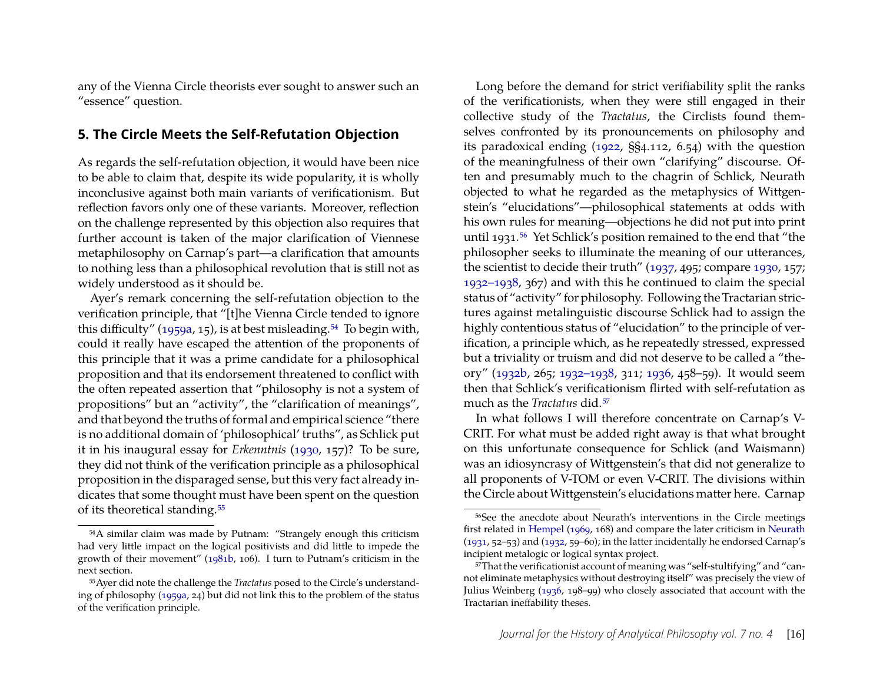any of the Vienna Circle theorists ever sought to answer such an "essence" question.

#### <span id="page-16-0"></span>**5. The Circle Meets the Self-Refutation Objection**

As regards the self-refutation objection, it would have been nice to be able to claim that, despite its wide popularity, it is wholly inconclusive against both main variants of verificationism. But reflection favors only one of these variants. Moreover, reflection on the challenge represented by this objection also requires that further account is taken of the major clarification of Viennese metaphilosophy on Carnap's part—a clarification that amounts to nothing less than a philosophical revolution that is still not as widely understood as it should be.

Ayer's remark concerning the self-refutation objection to the verification principle, that "[t]he Vienna Circle tended to ignore this difficulty"  $(1959a, 15)$ , is at best misleading.<sup>[54](#page-16-1)</sup> To begin with, could it really have escaped the attention of the proponents of this principle that it was a prime candidate for a philosophical proposition and that its endorsement threatened to conflict with the often repeated assertion that "philosophy is not a system of propositions" but an "activity", the "clarification of meanings", and that beyond the truths of formal and empirical science "there is no additional domain of 'philosophical' truths", as Schlick put it in his inaugural essay for *Erkenntnis* [\(1930,](#page-30-2) 157)? To be sure, they did not think of the verification principle as a philosophical proposition in the disparaged sense, but this very fact already indicates that some thought must have been spent on the question of its theoretical standing.[55](#page-16-2)

Long before the demand for strict verifiability split the ranks of the verificationists, when they were still engaged in their collective study of the *Tractatus*, the Circlists found themselves confronted by its pronouncements on philosophy and its paradoxical ending [\(1922,](#page-31-2) §§4.112, 6.54) with the question of the meaningfulness of their own "clarifying" discourse. Often and presumably much to the chagrin of Schlick, Neurath objected to what he regarded as the metaphysics of Wittgenstein's "elucidations"—philosophical statements at odds with his own rules for meaning—objections he did not put into print until 1931.[56](#page-16-3) Yet Schlick's position remained to the end that "the philosopher seeks to illuminate the meaning of our utterances, the scientist to decide their truth" [\(1937,](#page-31-15) 495; compare [1930,](#page-30-2) 157; [1932–1938,](#page-31-3) 367) and with this he continued to claim the special status of "activity" for philosophy. Following the Tractarian strictures against metalinguistic discourse Schlick had to assign the highly contentious status of "elucidation" to the principle of verification, a principle which, as he repeatedly stressed, expressed but a triviality or truism and did not deserve to be called a "theory" [\(1932b,](#page-30-6) 265; [1932–1938,](#page-31-3) 311; [1936,](#page-31-4) 458–59). It would seem then that Schlick's verificationism flirted with self-refutation as much as the *Tractatus* did.[57](#page-16-4)

In what follows I will therefore concentrate on Carnap's V-CRIT. For what must be added right away is that what brought on this unfortunate consequence for Schlick (and Waismann) was an idiosyncrasy of Wittgenstein's that did not generalize to all proponents of V-TOM or even V-CRIT. The divisions within the Circle about Wittgenstein's elucidations matter here. Carnap

<span id="page-16-1"></span><sup>54</sup>A similar claim was made by Putnam: "Strangely enough this criticism had very little impact on the logical positivists and did little to impede the growth of their movement" [\(1981b,](#page-29-13) 106). I turn to Putnam's criticism in the next section.

<span id="page-16-2"></span><sup>55</sup>Ayer did note the challenge the *Tractatus* posed to the Circle's understanding of philosophy [\(1959a,](#page-26-13) 24) but did not link this to the problem of the status of the verification principle.

<span id="page-16-3"></span><sup>56</sup>See the anecdote about Neurath's interventions in the Circle meetings first related in [Hempel](#page-28-17) [\(1969,](#page-28-17) 168) and compare the later criticism in [Neurath](#page-29-14) [\(1931,](#page-29-14) 52–53) and [\(1932,](#page-29-15) 59–60); in the latter incidentally he endorsed Carnap's incipient metalogic or logical syntax project.

<span id="page-16-4"></span><sup>&</sup>lt;sup>57</sup>That the verificationist account of meaning was "self-stultifying" and "cannot eliminate metaphysics without destroying itself" was precisely the view of Julius Weinberg [\(1936,](#page-31-16) 198–99) who closely associated that account with the Tractarian ineffability theses.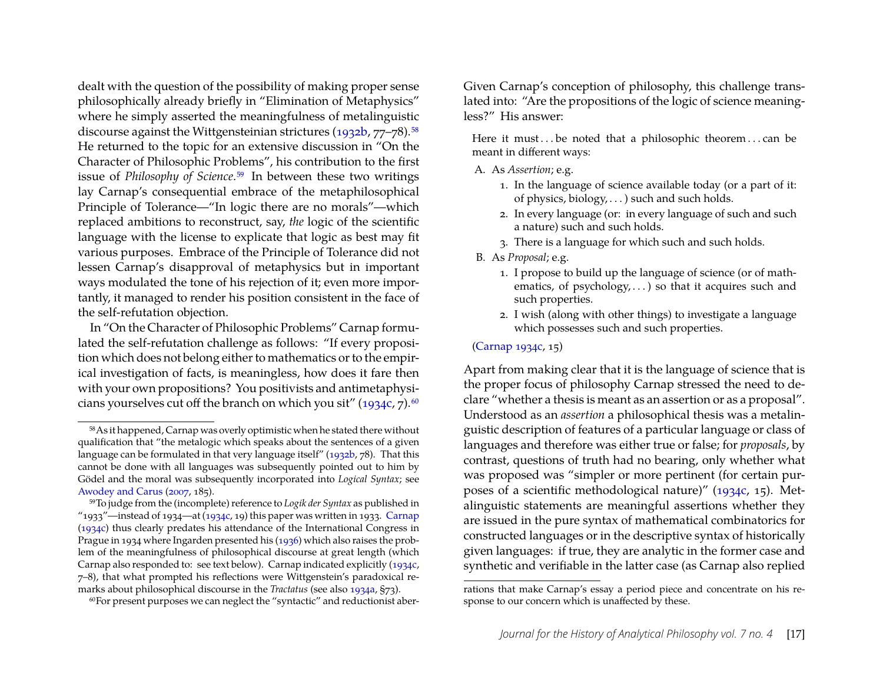dealt with the question of the possibility of making proper sense philosophically already briefly in "Elimination of Metaphysics" where he simply asserted the meaningfulness of metalinguistic discourse against the Wittgensteinian strictures  $(1932b, 77-78)$ .<sup>[58](#page-17-0)</sup> He returned to the topic for an extensive discussion in "On the Character of Philosophic Problems", his contribution to the first issue of *Philosophy of Science*.[59](#page-17-1) In between these two writings lay Carnap's consequential embrace of the metaphilosophical Principle of Tolerance—"In logic there are no morals"—which replaced ambitions to reconstruct, say, *the* logic of the scientific language with the license to explicate that logic as best may fit various purposes. Embrace of the Principle of Tolerance did not lessen Carnap's disapproval of metaphysics but in important ways modulated the tone of his rejection of it; even more importantly, it managed to render his position consistent in the face of the self-refutation objection.

In "On the Character of Philosophic Problems" Carnap formulated the self-refutation challenge as follows: "If every proposition which does not belong either to mathematics or to the empirical investigation of facts, is meaningless, how does it fare then with your own propositions? You positivists and antimetaphysi-cians yourselves cut off the branch on which you sit" [\(1934c,](#page-26-2) 7).<sup>[60](#page-17-2)</sup>

<span id="page-17-2"></span><sup>60</sup>For present purposes we can neglect the "syntactic" and reductionist aber-

Given Carnap's conception of philosophy, this challenge translated into: "Are the propositions of the logic of science meaningless?" His answer:

Here it must...be noted that a philosophic theorem...can be meant in different ways:

#### A. As *Assertion*; e.g.

- 1. In the language of science available today (or a part of it: of physics, biology, . . . ) such and such holds.
- 2. In every language (or: in every language of such and such a nature) such and such holds.
- 3. There is a language for which such and such holds.
- B. As *Proposal*; e.g.
	- 1. I propose to build up the language of science (or of mathematics, of psychology, ...) so that it acquires such and such properties.
	- 2. I wish (along with other things) to investigate a language which possesses such and such properties.

#### [\(Carnap 1934c,](#page-26-2) 15)

Apart from making clear that it is the language of science that is the proper focus of philosophy Carnap stressed the need to declare "whether a thesis is meant as an assertion or as a proposal". Understood as an *assertion* a philosophical thesis was a metalinguistic description of features of a particular language or class of languages and therefore was either true or false; for *proposals*, by contrast, questions of truth had no bearing, only whether what was proposed was "simpler or more pertinent (for certain purposes of a scientific methodological nature)" [\(1934c,](#page-26-2) 15). Metalinguistic statements are meaningful assertions whether they are issued in the pure syntax of mathematical combinatorics for constructed languages or in the descriptive syntax of historically given languages: if true, they are analytic in the former case and synthetic and verifiable in the latter case (as Carnap also replied

<span id="page-17-0"></span><sup>58</sup>As it happened, Carnap was overly optimistic when he stated there without qualification that "the metalogic which speaks about the sentences of a given language can be formulated in that very language itself" [\(1932b,](#page-26-0) 78). That this cannot be done with all languages was subsequently pointed out to him by Gödel and the moral was subsequently incorporated into *Logical Syntax*; see [Awodey and Carus](#page-26-16) [\(2007,](#page-26-16) 185).

<span id="page-17-1"></span><sup>59</sup>To judge from the (incomplete) reference to *Logik der Syntax* as published in "1933"—instead of 1934—at [\(1934c,](#page-26-2) 19) this paper was written in 1933. [Carnap](#page-26-2) [\(1934c\)](#page-26-2) thus clearly predates his attendance of the International Congress in Prague in 1934 where Ingarden presented his [\(1936\)](#page-28-12) which also raises the problem of the meaningfulness of philosophical discourse at great length (which Carnap also responded to: see text below). Carnap indicated explicitly [\(1934c,](#page-26-2) 7–8), that what prompted his reflections were Wittgenstein's paradoxical remarks about philosophical discourse in the *Tractatus* (see also [1934a,](#page-26-8) §73).

rations that make Carnap's essay a period piece and concentrate on his response to our concern which is unaffected by these.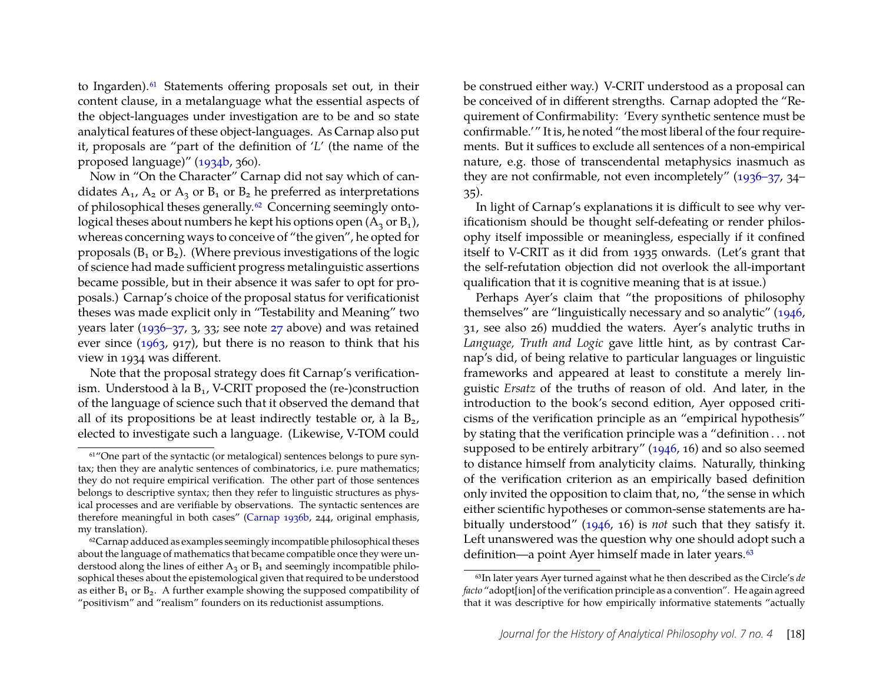to Ingarden).<sup>[61](#page-18-0)</sup> Statements offering proposals set out, in their content clause, in a metalanguage what the essential aspects of the object-languages under investigation are to be and so state analytical features of these object-languages. As Carnap also put it, proposals are "part of the definition of '*L*' (the name of the proposed language)" [\(1934b,](#page-26-17) 360).

Now in "On the Character" Carnap did not say which of candidates  $A_1$ ,  $A_2$  or  $A_3$  or  $B_1$  or  $B_2$  he preferred as interpretations of philosophical theses generally.<sup>[62](#page-18-1)</sup> Concerning seemingly ontological theses about numbers he kept his options open  $(A_3$  or  $B_1$ ), whereas concerning ways to conceive of "the given", he opted for proposals  $(B_1 \text{ or } B_2)$ . (Where previous investigations of the logic of science had made sufficient progress metalinguistic assertions became possible, but in their absence it was safer to opt for proposals.) Carnap's choice of the proposal status for verificationist theses was made explicit only in "Testability and Meaning" two years later [\(1936–37,](#page-27-4) 3, 33; see note [27](#page-7-1) above) and was retained ever since [\(1963,](#page-27-1) 917), but there is no reason to think that his view in 1934 was different.

Note that the proposal strategy does fit Carnap's verificationism. Understood à la  $B_1$ , V-CRIT proposed the (re-)construction of the language of science such that it observed the demand that all of its propositions be at least indirectly testable or, à la  $B_{2}$ , elected to investigate such a language. (Likewise, V-TOM could be construed either way.) V-CRIT understood as a proposal can be conceived of in different strengths. Carnap adopted the "Requirement of Confirmability: 'Every synthetic sentence must be confirmable.'" It is, he noted "the most liberal of the four requirements. But it suffices to exclude all sentences of a non-empirical nature, e.g. those of transcendental metaphysics inasmuch as they are not confirmable, not even incompletely" [\(1936–37,](#page-27-4) 34– 35).

In light of Carnap's explanations it is difficult to see why verificationism should be thought self-defeating or render philosophy itself impossible or meaningless, especially if it confined itself to V-CRIT as it did from 1935 onwards. (Let's grant that the self-refutation objection did not overlook the all-important qualification that it is cognitive meaning that is at issue.)

Perhaps Ayer's claim that "the propositions of philosophy themselves" are "linguistically necessary and so analytic" [\(1946,](#page-26-12) 31, see also 26) muddied the waters. Ayer's analytic truths in *Language, Truth and Logic* gave little hint, as by contrast Carnap's did, of being relative to particular languages or linguistic frameworks and appeared at least to constitute a merely linguistic *Ersatz* of the truths of reason of old. And later, in the introduction to the book's second edition, Ayer opposed criticisms of the verification principle as an "empirical hypothesis" by stating that the verification principle was a "definition . . . not supposed to be entirely arbitrary" [\(1946,](#page-26-12) 16) and so also seemed to distance himself from analyticity claims. Naturally, thinking of the verification criterion as an empirically based definition only invited the opposition to claim that, no, "the sense in which either scientific hypotheses or common-sense statements are habitually understood" [\(1946,](#page-26-12) 16) is *not* such that they satisfy it. Left unanswered was the question why one should adopt such a definition—a point Ayer himself made in later years.<sup>[63](#page-18-2)</sup>

<span id="page-18-0"></span><sup>61</sup>"One part of the syntactic (or metalogical) sentences belongs to pure syntax; then they are analytic sentences of combinatorics, i.e. pure mathematics; they do not require empirical verification. The other part of those sentences belongs to descriptive syntax; then they refer to linguistic structures as physical processes and are verifiable by observations. The syntactic sentences are therefore meaningful in both cases" [\(Carnap 1936b,](#page-26-15) 244, original emphasis, my translation).

<span id="page-18-1"></span><sup>&</sup>lt;sup>62</sup>Carnap adduced as examples seemingly incompatible philosophical theses about the language of mathematics that became compatible once they were understood along the lines of either  $A_3$  or  $B_1$  and seemingly incompatible philosophical theses about the epistemological given that required to be understood as either  $B_1$  or  $B_2$ . A further example showing the supposed compatibility of "positivism" and "realism" founders on its reductionist assumptions.

<span id="page-18-2"></span><sup>63</sup>In later years Ayer turned against what he then described as the Circle's *de facto* "adopt[ion] of the verification principle as a convention". He again agreed that it was descriptive for how empirically informative statements "actually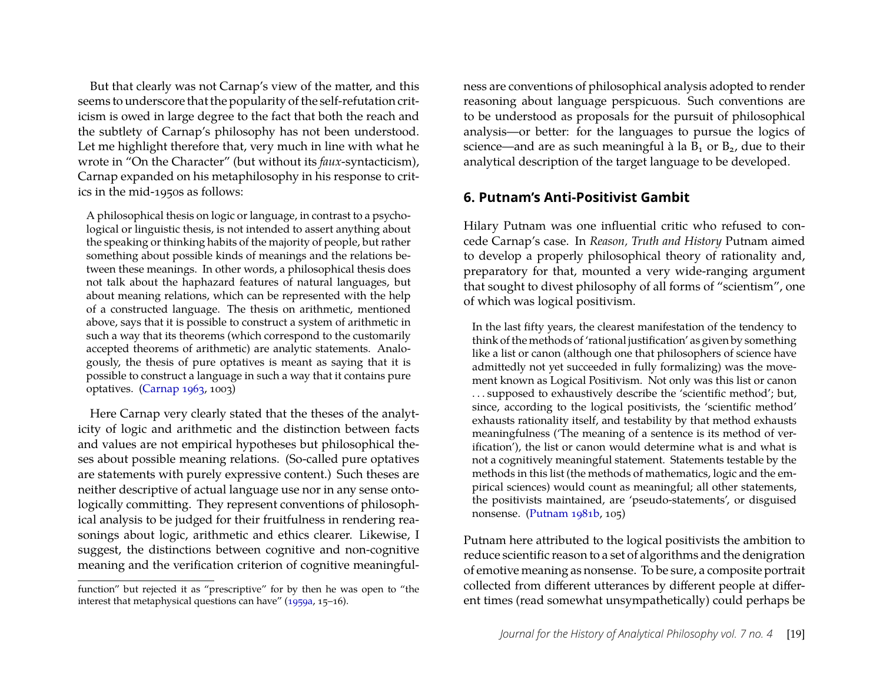But that clearly was not Carnap's view of the matter, and this seems to underscore that the popularity of the self-refutation criticism is owed in large degree to the fact that both the reach and the subtlety of Carnap's philosophy has not been understood. Let me highlight therefore that, very much in line with what he wrote in "On the Character" (but without its *faux*-syntacticism), Carnap expanded on his metaphilosophy in his response to critics in the mid-1950s as follows:

A philosophical thesis on logic or language, in contrast to a psychological or linguistic thesis, is not intended to assert anything about the speaking or thinking habits of the majority of people, but rather something about possible kinds of meanings and the relations between these meanings. In other words, a philosophical thesis does not talk about the haphazard features of natural languages, but about meaning relations, which can be represented with the help of a constructed language. The thesis on arithmetic, mentioned above, says that it is possible to construct a system of arithmetic in such a way that its theorems (which correspond to the customarily accepted theorems of arithmetic) are analytic statements. Analogously, the thesis of pure optatives is meant as saying that it is possible to construct a language in such a way that it contains pure optatives. [\(Carnap 1963,](#page-27-1) 1003)

Here Carnap very clearly stated that the theses of the analyticity of logic and arithmetic and the distinction between facts and values are not empirical hypotheses but philosophical theses about possible meaning relations. (So-called pure optatives are statements with purely expressive content.) Such theses are neither descriptive of actual language use nor in any sense ontologically committing. They represent conventions of philosophical analysis to be judged for their fruitfulness in rendering reasonings about logic, arithmetic and ethics clearer. Likewise, I suggest, the distinctions between cognitive and non-cognitive meaning and the verification criterion of cognitive meaningfulness are conventions of philosophical analysis adopted to render reasoning about language perspicuous. Such conventions are to be understood as proposals for the pursuit of philosophical analysis—or better: for the languages to pursue the logics of science—and are as such meaningful à la  $B_1$  or  $B_2$ , due to their analytical description of the target language to be developed.

#### <span id="page-19-0"></span>**6. Putnam's Anti-Positivist Gambit**

Hilary Putnam was one influential critic who refused to concede Carnap's case. In *Reason, Truth and History* Putnam aimed to develop a properly philosophical theory of rationality and, preparatory for that, mounted a very wide-ranging argument that sought to divest philosophy of all forms of "scientism", one of which was logical positivism.

In the last fifty years, the clearest manifestation of the tendency to think of the methods of 'rational justification' as given by something like a list or canon (although one that philosophers of science have admittedly not yet succeeded in fully formalizing) was the movement known as Logical Positivism. Not only was this list or canon . . . supposed to exhaustively describe the 'scientific method'; but, since, according to the logical positivists, the 'scientific method' exhausts rationality itself, and testability by that method exhausts meaningfulness ('The meaning of a sentence is its method of verification'), the list or canon would determine what is and what is not a cognitively meaningful statement. Statements testable by the methods in this list (the methods of mathematics, logic and the empirical sciences) would count as meaningful; all other statements, the positivists maintained, are 'pseudo-statements', or disguised nonsense. [\(Putnam 1981b,](#page-29-13) 105)

Putnam here attributed to the logical positivists the ambition to reduce scientific reason to a set of algorithms and the denigration of emotive meaning as nonsense. To be sure, a composite portrait collected from different utterances by different people at different times (read somewhat unsympathetically) could perhaps be

function" but rejected it as "prescriptive" for by then he was open to "the interest that metaphysical questions can have" [\(1959a,](#page-26-13) 15–16).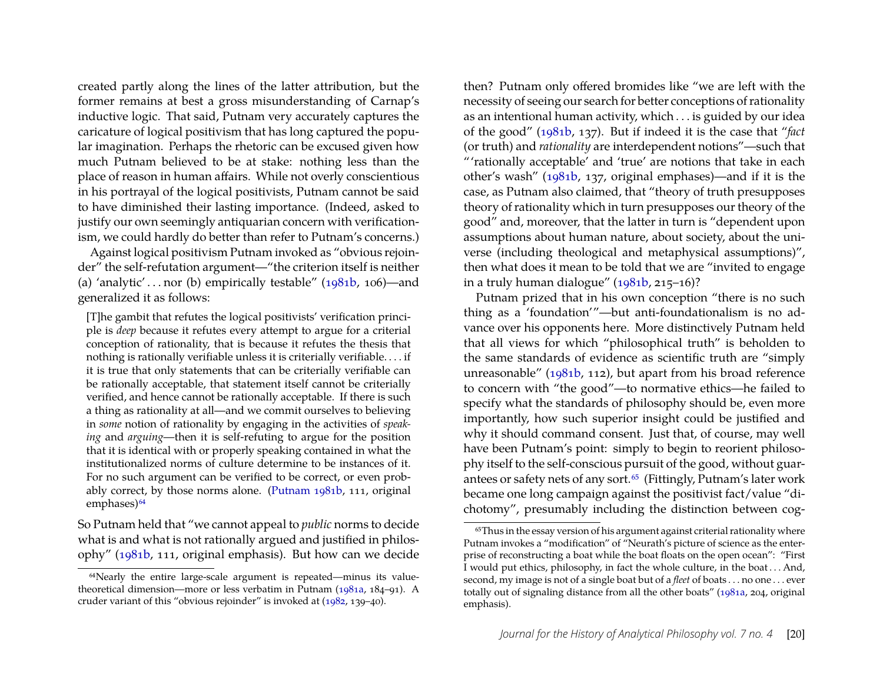created partly along the lines of the latter attribution, but the former remains at best a gross misunderstanding of Carnap's inductive logic. That said, Putnam very accurately captures the caricature of logical positivism that has long captured the popular imagination. Perhaps the rhetoric can be excused given how much Putnam believed to be at stake: nothing less than the place of reason in human affairs. While not overly conscientious in his portrayal of the logical positivists, Putnam cannot be said to have diminished their lasting importance. (Indeed, asked to justify our own seemingly antiquarian concern with verificationism, we could hardly do better than refer to Putnam's concerns.)

Against logical positivism Putnam invoked as "obvious rejoinder" the self-refutation argument—"the criterion itself is neither (a) 'analytic' ... nor (b) empirically testable"  $(1981b, 106)$ —and generalized it as follows:

[T]he gambit that refutes the logical positivists' verification principle is *deep* because it refutes every attempt to argue for a criterial conception of rationality, that is because it refutes the thesis that nothing is rationally verifiable unless it is criterially verifiable. . . . if it is true that only statements that can be criterially verifiable can be rationally acceptable, that statement itself cannot be criterially verified, and hence cannot be rationally acceptable. If there is such a thing as rationality at all—and we commit ourselves to believing in *some* notion of rationality by engaging in the activities of *speaking* and *arguing*—then it is self-refuting to argue for the position that it is identical with or properly speaking contained in what the institutionalized norms of culture determine to be instances of it. For no such argument can be verified to be correct, or even probably correct, by those norms alone. [\(Putnam 1981b,](#page-29-13) 111, original emphases)<sup>[64](#page-20-0)</sup>

So Putnam held that "we cannot appeal to *public* norms to decide what is and what is not rationally argued and justified in philosophy" [\(1981b,](#page-29-13) 111, original emphasis). But how can we decide

then? Putnam only offered bromides like "we are left with the necessity of seeing our search for better conceptions of rationality as an intentional human activity, which . . . is guided by our idea of the good" [\(1981b,](#page-29-13) 137). But if indeed it is the case that "*fact* (or truth) and *rationality* are interdependent notions"—such that "'rationally acceptable' and 'true' are notions that take in each other's wash" [\(1981b,](#page-29-13) 137, original emphases)—and if it is the case, as Putnam also claimed, that "theory of truth presupposes theory of rationality which in turn presupposes our theory of the good" and, moreover, that the latter in turn is "dependent upon assumptions about human nature, about society, about the universe (including theological and metaphysical assumptions)", then what does it mean to be told that we are "invited to engage in a truly human dialogue" [\(1981b,](#page-29-13) 215–16)?

Putnam prized that in his own conception "there is no such thing as a 'foundation'"—but anti-foundationalism is no advance over his opponents here. More distinctively Putnam held that all views for which "philosophical truth" is beholden to the same standards of evidence as scientific truth are "simply unreasonable" [\(1981b,](#page-29-13) 112), but apart from his broad reference to concern with "the good"—to normative ethics—he failed to specify what the standards of philosophy should be, even more importantly, how such superior insight could be justified and why it should command consent. Just that, of course, may well have been Putnam's point: simply to begin to reorient philosophy itself to the self-conscious pursuit of the good, without guar-antees or safety nets of any sort.<sup>[65](#page-20-1)</sup> (Fittingly, Putnam's later work became one long campaign against the positivist fact/value "dichotomy", presumably including the distinction between cog-

<span id="page-20-0"></span><sup>64</sup>Nearly the entire large-scale argument is repeated—minus its valuetheoretical dimension—more or less verbatim in Putnam [\(1981a,](#page-29-16) 184–91). A cruder variant of this "obvious rejoinder" is invoked at [\(1982,](#page-29-17) 139–40).

<span id="page-20-1"></span><sup>65</sup>Thus in the essay version of his argument against criterial rationality where Putnam invokes a "modification" of "Neurath's picture of science as the enterprise of reconstructing a boat while the boat floats on the open ocean": "First I would put ethics, philosophy, in fact the whole culture, in the boat . . . And, second, my image is not of a single boat but of a *fleet* of boats . . . no one . . . ever totally out of signaling distance from all the other boats" [\(1981a,](#page-29-16) 204, original emphasis).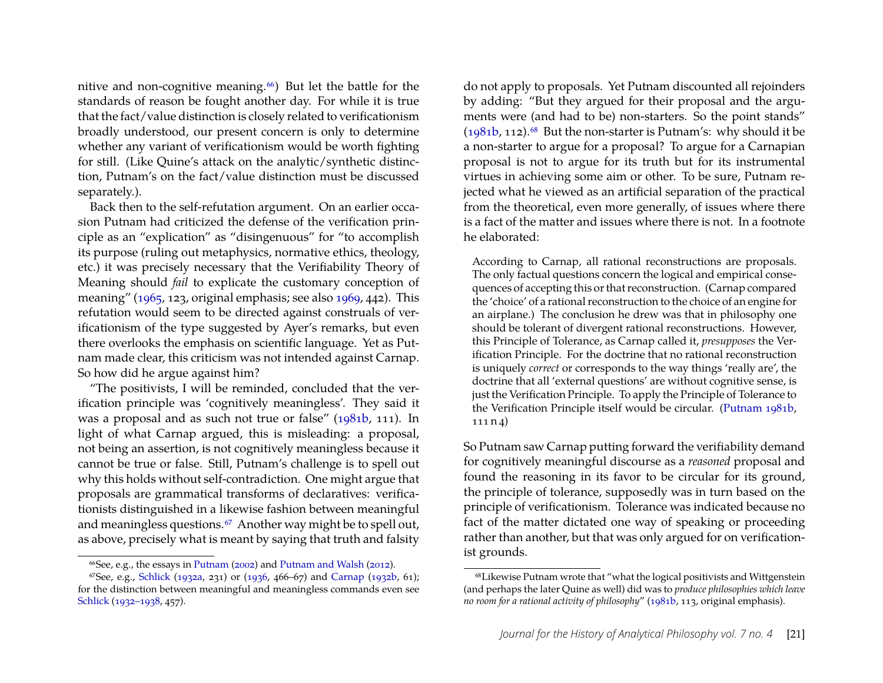nitive and non-cognitive meaning.<sup>[66](#page-21-0)</sup>) But let the battle for the standards of reason be fought another day. For while it is true that the fact/value distinction is closely related to verificationism broadly understood, our present concern is only to determine whether any variant of verificationism would be worth fighting for still. (Like Quine's attack on the analytic/synthetic distinction, Putnam's on the fact/value distinction must be discussed separately.).

Back then to the self-refutation argument. On an earlier occasion Putnam had criticized the defense of the verification principle as an "explication" as "disingenuous" for "to accomplish its purpose (ruling out metaphysics, normative ethics, theology, etc.) it was precisely necessary that the Verifiability Theory of Meaning should *fail* to explicate the customary conception of meaning" [\(1965,](#page-29-7) 123, original emphasis; see also [1969,](#page-29-18) 442). This refutation would seem to be directed against construals of verificationism of the type suggested by Ayer's remarks, but even there overlooks the emphasis on scientific language. Yet as Putnam made clear, this criticism was not intended against Carnap. So how did he argue against him?

"The positivists, I will be reminded, concluded that the verification principle was 'cognitively meaningless'. They said it was a proposal and as such not true or false" [\(1981b,](#page-29-13) 111). In light of what Carnap argued, this is misleading: a proposal, not being an assertion, is not cognitively meaningless because it cannot be true or false. Still, Putnam's challenge is to spell out why this holds without self-contradiction. One might argue that proposals are grammatical transforms of declaratives: verificationists distinguished in a likewise fashion between meaningful and meaningless questions.<sup>[67](#page-21-1)</sup> Another way might be to spell out, as above, precisely what is meant by saying that truth and falsity

do not apply to proposals. Yet Putnam discounted all rejoinders by adding: "But they argued for their proposal and the arguments were (and had to be) non-starters. So the point stands"  $(1981b, 112).$  $(1981b, 112).$ <sup>[68](#page-21-2)</sup> But the non-starter is Putnam's: why should it be a non-starter to argue for a proposal? To argue for a Carnapian proposal is not to argue for its truth but for its instrumental virtues in achieving some aim or other. To be sure, Putnam rejected what he viewed as an artificial separation of the practical from the theoretical, even more generally, of issues where there is a fact of the matter and issues where there is not. In a footnote he elaborated:

According to Carnap, all rational reconstructions are proposals. The only factual questions concern the logical and empirical consequences of accepting this or that reconstruction. (Carnap compared the 'choice' of a rational reconstruction to the choice of an engine for an airplane.) The conclusion he drew was that in philosophy one should be tolerant of divergent rational reconstructions. However, this Principle of Tolerance, as Carnap called it, *presupposes* the Verification Principle. For the doctrine that no rational reconstruction is uniquely *correct* or corresponds to the way things 'really are', the doctrine that all 'external questions' are without cognitive sense, is just the Verification Principle. To apply the Principle of Tolerance to the Verification Principle itself would be circular. [\(Putnam 1981b,](#page-29-13)  $111 n 4)$ 

So Putnam saw Carnap putting forward the verifiability demand for cognitively meaningful discourse as a *reasoned* proposal and found the reasoning in its favor to be circular for its ground, the principle of tolerance, supposedly was in turn based on the principle of verificationism. Tolerance was indicated because no fact of the matter dictated one way of speaking or proceeding rather than another, but that was only argued for on verificationist grounds.

<span id="page-21-1"></span><span id="page-21-0"></span> $66$ See, e.g., the essays in [Putnam](#page-30-13) [\(2002\)](#page-30-13) and [Putnam and Walsh](#page-30-14) [\(2012\)](#page-30-14).

 $67$ See, e.g., [Schlick](#page-30-15) [\(1932a,](#page-30-15) 231) or [\(1936,](#page-31-4) 466–67) and [Carnap](#page-26-0) [\(1932b,](#page-26-0) 61); for the distinction between meaningful and meaningless commands even see [Schlick](#page-31-3) [\(1932–1938,](#page-31-3) 457).

<span id="page-21-2"></span><sup>68</sup>Likewise Putnam wrote that "what the logical positivists and Wittgenstein (and perhaps the later Quine as well) did was to *produce philosophies which leave no room for a rational activity of philosophy*" [\(1981b,](#page-29-13) 113, original emphasis).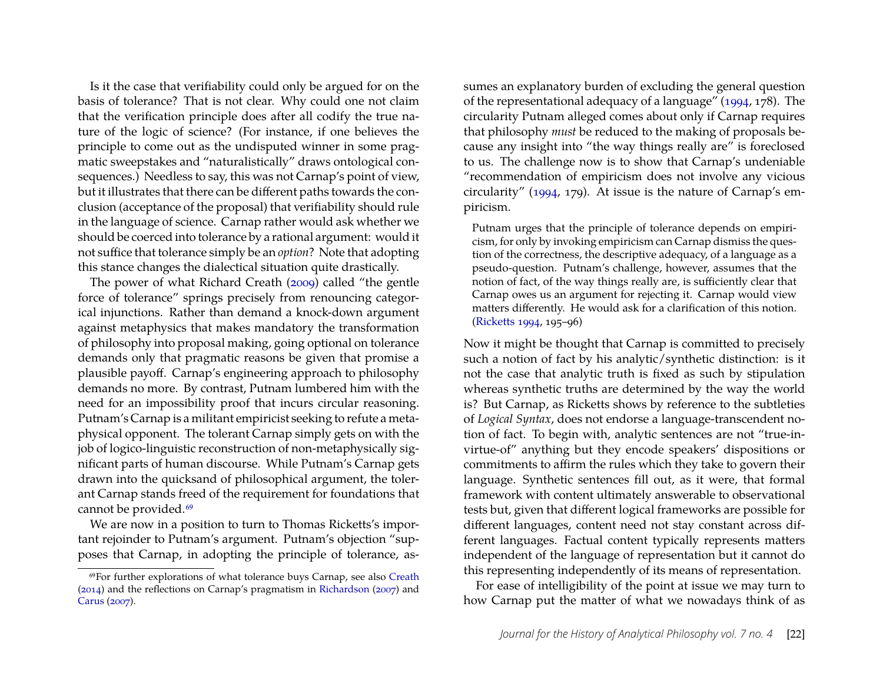Is it the case that verifiability could only be argued for on the basis of tolerance? That is not clear. Why could one not claim that the verification principle does after all codify the true nature of the logic of science? (For instance, if one believes the principle to come out as the undisputed winner in some pragmatic sweepstakes and "naturalistically" draws ontological consequences.) Needless to say, this was not Carnap's point of view, but it illustrates that there can be different paths towards the conclusion (acceptance of the proposal) that verifiability should rule in the language of science. Carnap rather would ask whether we should be coerced into tolerance by a rational argument: would it not suffice that tolerance simply be an *option*? Note that adopting this stance changes the dialectical situation quite drastically.

The power of what Richard Creath [\(2009\)](#page-27-11) called "the gentle force of tolerance" springs precisely from renouncing categorical injunctions. Rather than demand a knock-down argument against metaphysics that makes mandatory the transformation of philosophy into proposal making, going optional on tolerance demands only that pragmatic reasons be given that promise a plausible payoff. Carnap's engineering approach to philosophy demands no more. By contrast, Putnam lumbered him with the need for an impossibility proof that incurs circular reasoning. Putnam's Carnap is a militant empiricist seeking to refute a metaphysical opponent. The tolerant Carnap simply gets on with the job of logico-linguistic reconstruction of non-metaphysically significant parts of human discourse. While Putnam's Carnap gets drawn into the quicksand of philosophical argument, the tolerant Carnap stands freed of the requirement for foundations that cannot be provided.<sup>[69](#page-22-0)</sup>

We are now in a position to turn to Thomas Ricketts's important rejoinder to Putnam's argument. Putnam's objection "supposes that Carnap, in adopting the principle of tolerance, assumes an explanatory burden of excluding the general question of the representational adequacy of a language" [\(1994,](#page-30-17) 178). The circularity Putnam alleged comes about only if Carnap requires that philosophy *must* be reduced to the making of proposals because any insight into "the way things really are" is foreclosed to us. The challenge now is to show that Carnap's undeniable "recommendation of empiricism does not involve any vicious circularity" [\(1994,](#page-30-17) 179). At issue is the nature of Carnap's empiricism.

Putnam urges that the principle of tolerance depends on empiricism, for only by invoking empiricism can Carnap dismiss the question of the correctness, the descriptive adequacy, of a language as a pseudo-question. Putnam's challenge, however, assumes that the notion of fact, of the way things really are, is sufficiently clear that Carnap owes us an argument for rejecting it. Carnap would view matters differently. He would ask for a clarification of this notion. [\(Ricketts 1994,](#page-30-17) 195–96)

Now it might be thought that Carnap is committed to precisely such a notion of fact by his analytic/synthetic distinction: is it not the case that analytic truth is fixed as such by stipulation whereas synthetic truths are determined by the way the world is? But Carnap, as Ricketts shows by reference to the subtleties of *Logical Syntax*, does not endorse a language-transcendent notion of fact. To begin with, analytic sentences are not "true-invirtue-of" anything but they encode speakers' dispositions or commitments to affirm the rules which they take to govern their language. Synthetic sentences fill out, as it were, that formal framework with content ultimately answerable to observational tests but, given that different logical frameworks are possible for different languages, content need not stay constant across different languages. Factual content typically represents matters independent of the language of representation but it cannot do this representing independently of its means of representation.

For ease of intelligibility of the point at issue we may turn to how Carnap put the matter of what we nowadays think of as

<span id="page-22-0"></span><sup>69</sup>For further explorations of what tolerance buys Carnap, see also [Creath](#page-27-12) [\(2014\)](#page-27-12) and the reflections on Carnap's pragmatism in [Richardson](#page-30-16) [\(2007\)](#page-30-16) and [Carus](#page-27-13) [\(2007\)](#page-27-13).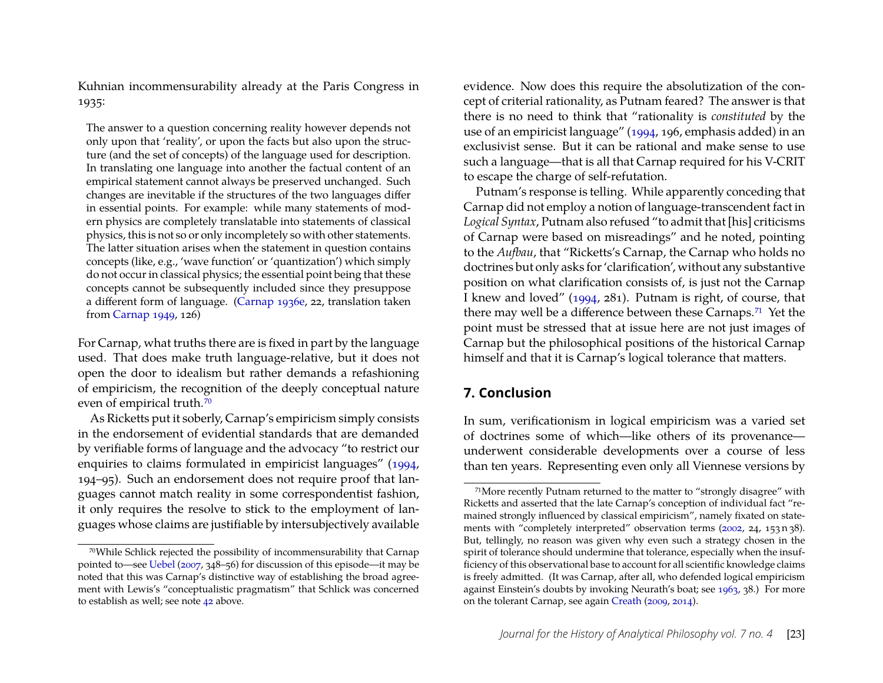Kuhnian incommensurability already at the Paris Congress in 1935:

The answer to a question concerning reality however depends not only upon that 'reality', or upon the facts but also upon the structure (and the set of concepts) of the language used for description. In translating one language into another the factual content of an empirical statement cannot always be preserved unchanged. Such changes are inevitable if the structures of the two languages differ in essential points. For example: while many statements of modern physics are completely translatable into statements of classical physics, this is not so or only incompletely so with other statements. The latter situation arises when the statement in question contains concepts (like, e.g., 'wave function' or 'quantization') which simply do not occur in classical physics; the essential point being that these concepts cannot be subsequently included since they presuppose a different form of language. [\(Carnap 1936e,](#page-27-5) 22, translation taken from [Carnap 1949,](#page-27-14) 126)

For Carnap, what truths there are is fixed in part by the language used. That does make truth language-relative, but it does not open the door to idealism but rather demands a refashioning of empiricism, the recognition of the deeply conceptual nature even of empirical truth.[70](#page-23-0)

As Ricketts put it soberly, Carnap's empiricism simply consists in the endorsement of evidential standards that are demanded by verifiable forms of language and the advocacy "to restrict our enquiries to claims formulated in empiricist languages" [\(1994,](#page-30-17) 194–95). Such an endorsement does not require proof that languages cannot match reality in some correspondentist fashion, it only requires the resolve to stick to the employment of languages whose claims are justifiable by intersubjectively available evidence. Now does this require the absolutization of the concept of criterial rationality, as Putnam feared? The answer is that there is no need to think that "rationality is *constituted* by the use of an empiricist language" [\(1994,](#page-30-17) 196, emphasis added) in an exclusivist sense. But it can be rational and make sense to use such a language—that is all that Carnap required for his V-CRIT to escape the charge of self-refutation.

Putnam's response is telling. While apparently conceding that Carnap did not employ a notion of language-transcendent fact in *Logical Syntax*, Putnam also refused "to admit that [his] criticisms of Carnap were based on misreadings" and he noted, pointing to the *Aufbau*, that "Ricketts's Carnap, the Carnap who holds no doctrines but only asks for 'clarification', without any substantive position on what clarification consists of, is just not the Carnap I knew and loved" [\(1994,](#page-30-18) 281). Putnam is right, of course, that there may well be a difference between these Carnaps.[71](#page-23-1) Yet the point must be stressed that at issue here are not just images of Carnap but the philosophical positions of the historical Carnap himself and that it is Carnap's logical tolerance that matters.

#### **7. Conclusion**

In sum, verificationism in logical empiricism was a varied set of doctrines some of which—like others of its provenance underwent considerable developments over a course of less than ten years. Representing even only all Viennese versions by

<span id="page-23-0"></span><sup>70</sup>While Schlick rejected the possibility of incommensurability that Carnap pointed to—see [Uebel](#page-31-1) [\(2007,](#page-31-1) 348–56) for discussion of this episode—it may be noted that this was Carnap's distinctive way of establishing the broad agreement with Lewis's "conceptualistic pragmatism" that Schlick was concerned to establish as well; see note [42](#page-12-0) above.

<span id="page-23-1"></span><sup>71</sup>More recently Putnam returned to the matter to "strongly disagree" with Ricketts and asserted that the late Carnap's conception of individual fact "remained strongly influenced by classical empiricism", namely fixated on statements with "completely interpreted" observation terms [\(2002,](#page-30-13) 24, 153 n 38). But, tellingly, no reason was given why even such a strategy chosen in the spirit of tolerance should undermine that tolerance, especially when the insufficiency of this observational base to account for all scientific knowledge claims is freely admitted. (It was Carnap, after all, who defended logical empiricism against Einstein's doubts by invoking Neurath's boat; see [1963,](#page-27-1) 38.) For more on the tolerant Carnap, see again [Creath](#page-27-11) [\(2009,](#page-27-11) [2014\)](#page-27-12).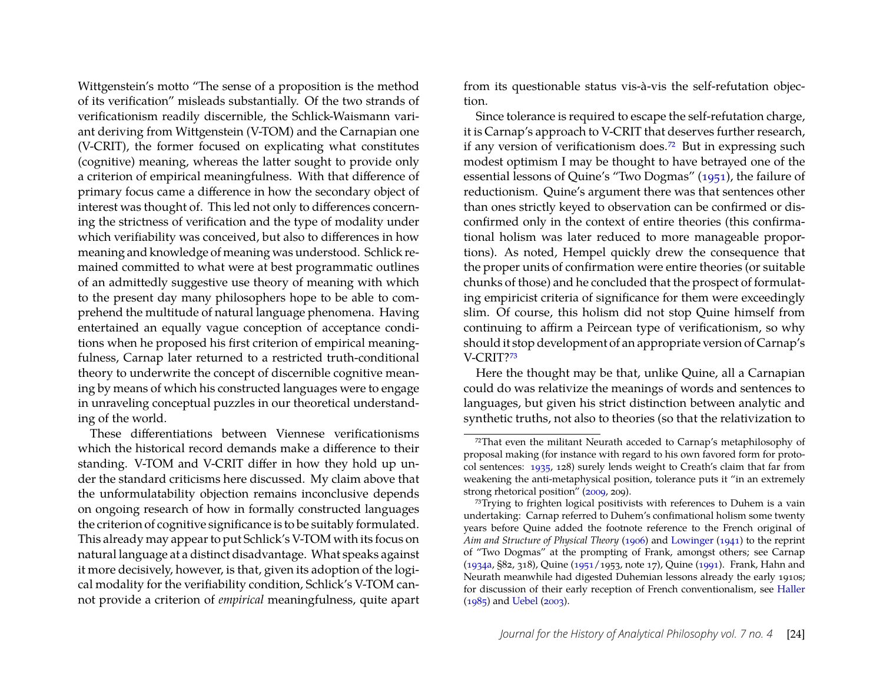Wittgenstein's motto "The sense of a proposition is the method of its verification" misleads substantially. Of the two strands of verificationism readily discernible, the Schlick-Waismann variant deriving from Wittgenstein (V-TOM) and the Carnapian one (V-CRIT), the former focused on explicating what constitutes (cognitive) meaning, whereas the latter sought to provide only a criterion of empirical meaningfulness. With that difference of primary focus came a difference in how the secondary object of interest was thought of. This led not only to differences concerning the strictness of verification and the type of modality under which verifiability was conceived, but also to differences in how meaning and knowledge of meaning was understood. Schlick remained committed to what were at best programmatic outlines of an admittedly suggestive use theory of meaning with which to the present day many philosophers hope to be able to comprehend the multitude of natural language phenomena. Having entertained an equally vague conception of acceptance conditions when he proposed his first criterion of empirical meaningfulness, Carnap later returned to a restricted truth-conditional theory to underwrite the concept of discernible cognitive meaning by means of which his constructed languages were to engage in unraveling conceptual puzzles in our theoretical understanding of the world.

These differentiations between Viennese verificationisms which the historical record demands make a difference to their standing. V-TOM and V-CRIT differ in how they hold up under the standard criticisms here discussed. My claim above that the unformulatability objection remains inconclusive depends on ongoing research of how in formally constructed languages the criterion of cognitive significance is to be suitably formulated. This already may appear to put Schlick's V-TOM with its focus on natural language at a distinct disadvantage. What speaks against it more decisively, however, is that, given its adoption of the logical modality for the verifiability condition, Schlick's V-TOM cannot provide a criterion of *empirical* meaningfulness, quite apart from its questionable status vis-à-vis the self-refutation objection.

Since tolerance is required to escape the self-refutation charge, it is Carnap's approach to V-CRIT that deserves further research, if any version of verificationism does.[72](#page-24-0) But in expressing such modest optimism I may be thought to have betrayed one of the essential lessons of Quine's "Two Dogmas" [\(1951\)](#page-30-9), the failure of reductionism. Quine's argument there was that sentences other than ones strictly keyed to observation can be confirmed or disconfirmed only in the context of entire theories (this confirmational holism was later reduced to more manageable proportions). As noted, Hempel quickly drew the consequence that the proper units of confirmation were entire theories (or suitable chunks of those) and he concluded that the prospect of formulating empiricist criteria of significance for them were exceedingly slim. Of course, this holism did not stop Quine himself from continuing to affirm a Peircean type of verificationism, so why should it stop development of an appropriate version of Carnap's V-CRIT?[73](#page-24-1)

Here the thought may be that, unlike Quine, all a Carnapian could do was relativize the meanings of words and sentences to languages, but given his strict distinction between analytic and synthetic truths, not also to theories (so that the relativization to

<span id="page-24-0"></span><sup>&</sup>lt;sup>72</sup>That even the militant Neurath acceded to Carnap's metaphilosophy of proposal making (for instance with regard to his own favored form for protocol sentences: [1935,](#page-29-8) 128) surely lends weight to Creath's claim that far from weakening the anti-metaphysical position, tolerance puts it "in an extremely strong rhetorical position" [\(2009,](#page-27-11) 209).

<span id="page-24-1"></span><sup>&</sup>lt;sup>73</sup>Trying to frighten logical positivists with references to Duhem is a vain undertaking: Carnap referred to Duhem's confimational holism some twenty years before Quine added the footnote reference to the French original of *Aim and Structure of Physical Theory* [\(1906\)](#page-27-15) and [Lowinger](#page-28-18) [\(1941\)](#page-28-18) to the reprint of "Two Dogmas" at the prompting of Frank, amongst others; see Carnap [\(1934a,](#page-26-8) §82, 318), Quine [\(1951/](#page-30-9)1953, note 17), Quine [\(1991\)](#page-30-19). Frank, Hahn and Neurath meanwhile had digested Duhemian lessons already the early 1910s; for discussion of their early reception of French conventionalism, see [Haller](#page-28-19) [\(1985\)](#page-28-19) and [Uebel](#page-31-17) [\(2003\)](#page-31-17).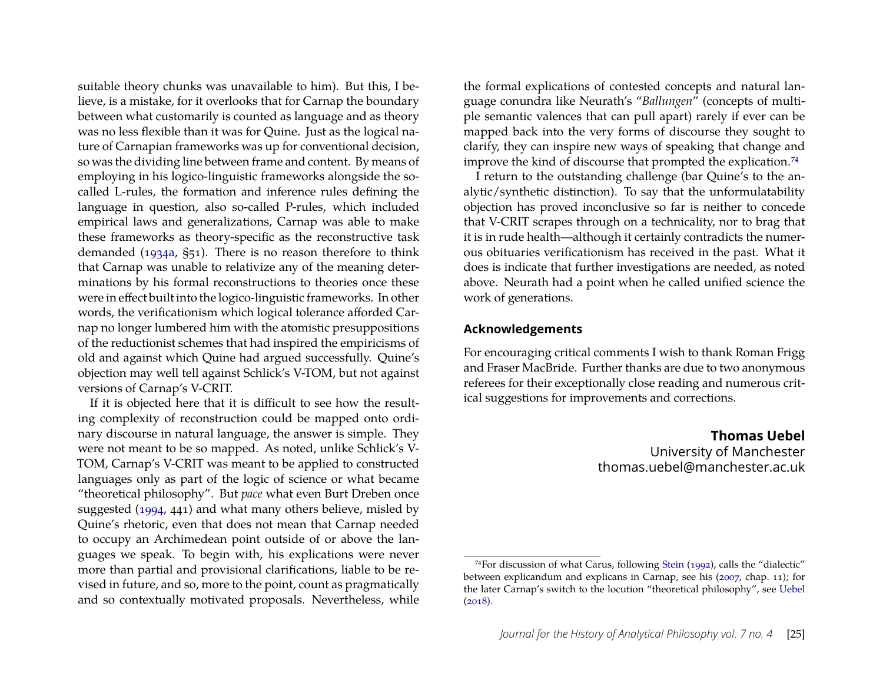suitable theory chunks was unavailable to him). But this, I believe, is a mistake, for it overlooks that for Carnap the boundary between what customarily is counted as language and as theory was no less flexible than it was for Quine. Just as the logical nature of Carnapian frameworks was up for conventional decision, so was the dividing line between frame and content. By means of employing in his logico-linguistic frameworks alongside the socalled L-rules, the formation and inference rules defining the language in question, also so-called P-rules, which included empirical laws and generalizations, Carnap was able to make these frameworks as theory-specific as the reconstructive task demanded [\(1934a,](#page-26-8) §51). There is no reason therefore to think that Carnap was unable to relativize any of the meaning determinations by his formal reconstructions to theories once these were in effect built into the logico-linguistic frameworks. In other words, the verificationism which logical tolerance afforded Carnap no longer lumbered him with the atomistic presuppositions of the reductionist schemes that had inspired the empiricisms of old and against which Quine had argued successfully. Quine's objection may well tell against Schlick's V-TOM, but not against versions of Carnap's V-CRIT.

If it is objected here that it is difficult to see how the resulting complexity of reconstruction could be mapped onto ordinary discourse in natural language, the answer is simple. They were not meant to be so mapped. As noted, unlike Schlick's V-TOM, Carnap's V-CRIT was meant to be applied to constructed languages only as part of the logic of science or what became "theoretical philosophy". But *pace* what even Burt Dreben once suggested [\(1994,](#page-27-16) 441) and what many others believe, misled by Quine's rhetoric, even that does not mean that Carnap needed to occupy an Archimedean point outside of or above the languages we speak. To begin with, his explications were never more than partial and provisional clarifications, liable to be revised in future, and so, more to the point, count as pragmatically and so contextually motivated proposals. Nevertheless, while

the formal explications of contested concepts and natural language conundra like Neurath's "*Ballungen*" (concepts of multiple semantic valences that can pull apart) rarely if ever can be mapped back into the very forms of discourse they sought to clarify, they can inspire new ways of speaking that change and improve the kind of discourse that prompted the explication.[74](#page-25-0)

I return to the outstanding challenge (bar Quine's to the analytic/synthetic distinction). To say that the unformulatability objection has proved inconclusive so far is neither to concede that V-CRIT scrapes through on a technicality, nor to brag that it is in rude health—although it certainly contradicts the numerous obituaries verificationism has received in the past. What it does is indicate that further investigations are needed, as noted above. Neurath had a point when he called unified science the work of generations.

#### **Acknowledgements**

For encouraging critical comments I wish to thank Roman Frigg and Fraser MacBride. Further thanks are due to two anonymous referees for their exceptionally close reading and numerous critical suggestions for improvements and corrections.

> **Thomas Uebel** University of Manchester thomas.uebel@manchester.ac.uk

<span id="page-25-0"></span><sup>74</sup>For discussion of what Carus, following [Stein](#page-31-18) [\(1992\)](#page-31-18), calls the "dialectic" between explicandum and explicans in Carnap, see his [\(2007,](#page-27-13) chap. 11); for the later Carnap's switch to the locution "theoretical philosophy", see [Uebel](#page-31-19)  $(2018).$  $(2018).$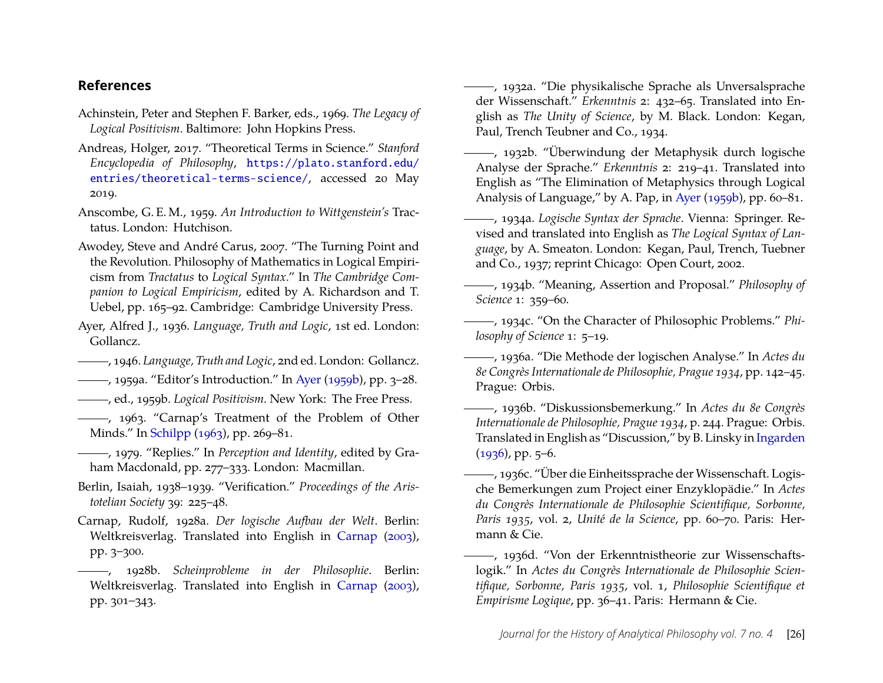#### **References**

- <span id="page-26-19"></span>Achinstein, Peter and Stephen F. Barker, eds., 1969. *The Legacy of Logical Positivism*. Baltimore: John Hopkins Press.
- <span id="page-26-10"></span>Andreas, Holger, 2017. "Theoretical Terms in Science." *Stanford Encyclopedia of Philosophy*, [https://plato.stanford.edu/](https://plato.stanford.edu/entries/theoretical-terms-science/) [entries/theoretical-terms-science/](https://plato.stanford.edu/entries/theoretical-terms-science/), accessed 20 May 2019.
- <span id="page-26-6"></span>Anscombe, G. E. M., 1959. *An Introduction to Wittgenstein's* Tractatus. London: Hutchison.
- <span id="page-26-16"></span>Awodey, Steve and André Carus, 2007. "The Turning Point and the Revolution. Philosophy of Mathematics in Logical Empiricism from *Tractatus* to *Logical Syntax*." In *The Cambridge Companion to Logical Empiricism*, edited by A. Richardson and T. Uebel, pp. 165–92. Cambridge: Cambridge University Press.
- <span id="page-26-3"></span>Ayer, Alfred J., 1936. *Language, Truth and Logic*, 1st ed. London: Gollancz.
- <span id="page-26-12"></span>, 1946. *Language, Truth and Logic*, 2nd ed. London: Gollancz.
- <span id="page-26-13"></span>, 1959a. "Editor's Introduction." In [Ayer](#page-26-18) [\(1959b\)](#page-26-18), pp. 3–28.
- <span id="page-26-18"></span>, ed., 1959b. *Logical Positivism*. New York: The Free Press.
- <span id="page-26-14"></span>, 1963. "Carnap's Treatment of the Problem of Other Minds." In [Schilpp](#page-30-20) [\(1963\)](#page-30-20), pp. 269–81.
- <span id="page-26-4"></span>, 1979. "Replies." In *Perception and Identity*, edited by Graham Macdonald, pp. 277–333. London: Macmillan.
- <span id="page-26-11"></span>Berlin, Isaiah, 1938–1939. "Verification." *Proceedings of the Aristotelian Society* 39: 225–48.
- <span id="page-26-5"></span>Carnap, Rudolf, 1928a. *Der logische Aufbau der Welt*. Berlin: Weltkreisverlag. Translated into English in [Carnap](#page-27-17) [\(2003\)](#page-27-17), pp. 3–300.
- <span id="page-26-1"></span>, 1928b. *Scheinprobleme in der Philosophie*. Berlin: Weltkreisverlag. Translated into English in [Carnap](#page-27-17) [\(2003\)](#page-27-17), pp. 301–343.
- <span id="page-26-7"></span>, 1932a. "Die physikalische Sprache als Unversalsprache der Wissenschaft." *Erkenntnis* 2: 432–65. Translated into English as *The Unity of Science*, by M. Black. London: Kegan, Paul, Trench Teubner and Co., 1934.
- <span id="page-26-0"></span>, 1932b. "Überwindung der Metaphysik durch logische Analyse der Sprache." *Erkenntnis* 2: 219–41. Translated into English as "The Elimination of Metaphysics through Logical Analysis of Language," by A. Pap, in [Ayer](#page-26-18) [\(1959b\)](#page-26-18), pp. 60–81.
- <span id="page-26-8"></span>, 1934a. *Logische Syntax der Sprache*. Vienna: Springer. Revised and translated into English as *The Logical Syntax of Language*, by A. Smeaton. London: Kegan, Paul, Trench, Tuebner and Co., 1937; reprint Chicago: Open Court, 2002.
- <span id="page-26-17"></span>, 1934b. "Meaning, Assertion and Proposal." *Philosophy of Science* 1: 359–60.
- <span id="page-26-2"></span>, 1934c. "On the Character of Philosophic Problems." *Philosophy of Science* 1: 5–19.
- , 1936a. "Die Methode der logischen Analyse." In *Actes du 8e Congrès Internationale de Philosophie, Prague 1934*, pp. 142–45. Prague: Orbis.
- <span id="page-26-15"></span>, 1936b. "Diskussionsbemerkung." In *Actes du 8e Congrès Internationale de Philosophie, Prague 1934*, p. 244. Prague: Orbis. Translated in English as "Discussion," by B. Linsky in [Ingarden](#page-28-12)  $(1936)$ , pp. 5–6.
- <span id="page-26-9"></span>, 1936c. "Über die Einheitssprache der Wissenschaft. Logische Bemerkungen zum Project einer Enzyklopädie." In *Actes du Congrès Internationale de Philosophie Scientifique, Sorbonne, Paris 1935*, vol. 2, *Unité de la Science*, pp. 60–70. Paris: Hermann & Cie.
- , 1936d. "Von der Erkenntnistheorie zur Wissenschaftslogik." In *Actes du Congrès Internationale de Philosophie Scientifique, Sorbonne, Paris 1935*, vol. 1, *Philosophie Scientifique et Empirisme Logique*, pp. 36–41. Paris: Hermann & Cie.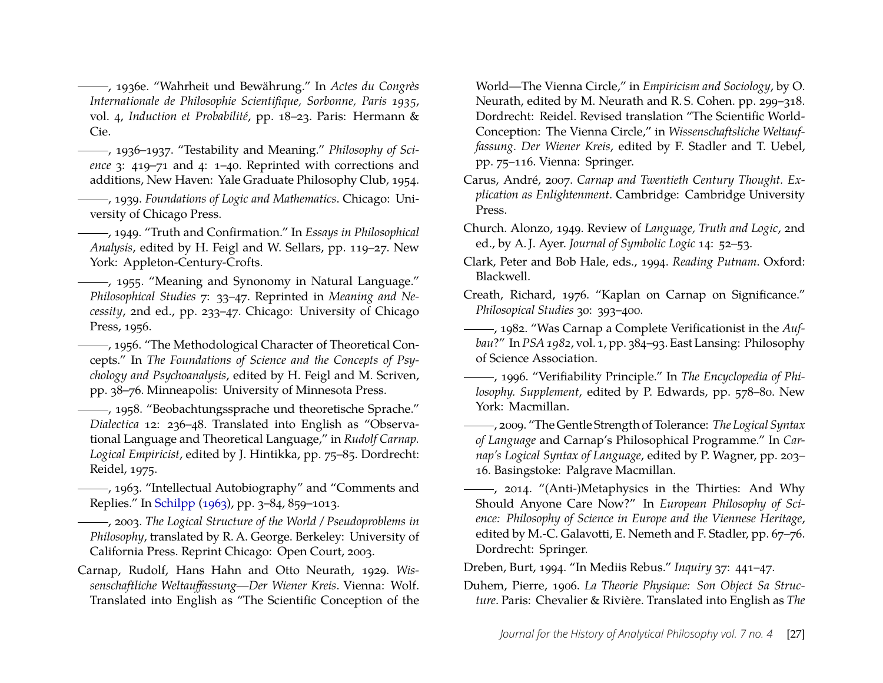<span id="page-27-5"></span>, 1936e. "Wahrheit und Bewährung." In *Actes du Congrès Internationale de Philosophie Scientifique, Sorbonne, Paris 1935*, vol. 4, *Induction et Probabilité*, pp. 18–23. Paris: Hermann & Cie.

<span id="page-27-4"></span>, 1936–1937. "Testability and Meaning." *Philosophy of Science* 3: 419–71 and 4: 1–40. Reprinted with corrections and additions, New Haven: Yale Graduate Philosophy Club, 1954. , 1939. *Foundations of Logic and Mathematics*. Chicago: University of Chicago Press.

<span id="page-27-14"></span><span id="page-27-6"></span>, 1949. "Truth and Confirmation." In *Essays in Philosophical Analysis*, edited by H. Feigl and W. Sellars, pp. 119–27. New York: Appleton-Century-Crofts.

(1955), "Meaning and Synonomy in Natural Language." *Philosophical Studies* 7: 33–47. Reprinted in *Meaning and Necessity*, 2nd ed., pp. 233–47. Chicago: University of Chicago Press, 1956.

<span id="page-27-8"></span>, 1956. "The Methodological Character of Theoretical Concepts." In *The Foundations of Science and the Concepts of Psychology and Psychoanalysis*, edited by H. Feigl and M. Scriven, pp. 38–76. Minneapolis: University of Minnesota Press.

<span id="page-27-7"></span>, 1958. "Beobachtungssprache und theoretische Sprache." *Dialectica* 12: 236–48. Translated into English as "Observational Language and Theoretical Language," in *Rudolf Carnap. Logical Empiricist*, edited by J. Hintikka, pp. 75–85. Dordrecht: Reidel, 1975.

<span id="page-27-1"></span>, 1963. "Intellectual Autobiography" and "Comments and Replies." In [Schilpp](#page-30-20) [\(1963\)](#page-30-20), pp. 3–84, 859–1013.

<span id="page-27-17"></span>, 2003. *The Logical Structure of the World / Pseudoproblems in Philosophy*, translated by R. A. George. Berkeley: University of California Press. Reprint Chicago: Open Court, 2003.

<span id="page-27-0"></span>Carnap, Rudolf, Hans Hahn and Otto Neurath, 1929. *Wissenschaftliche Weltauffassung—Der Wiener Kreis*. Vienna: Wolf. Translated into English as "The Scientific Conception of the

World—The Vienna Circle," in *Empiricism and Sociology*, by O. Neurath, edited by M. Neurath and R. S. Cohen. pp. 299–318. Dordrecht: Reidel. Revised translation "The Scientific World-Conception: The Vienna Circle," in *Wissenschaftsliche Weltauffassung. Der Wiener Kreis*, edited by F. Stadler and T. Uebel, pp. 75–116. Vienna: Springer.

<span id="page-27-13"></span>Carus, André, 2007. *Carnap and Twentieth Century Thought. Explication as Enlightenment*. Cambridge: Cambridge University Press.

<span id="page-27-9"></span>Church. Alonzo, 1949. Review of *Language, Truth and Logic*, 2nd ed., by A. J. Ayer. *Journal of Symbolic Logic* 14: 52–53.

<span id="page-27-18"></span>Clark, Peter and Bob Hale, eds., 1994. *Reading Putnam*. Oxford: Blackwell.

<span id="page-27-10"></span>Creath, Richard, 1976. "Kaplan on Carnap on Significance." *Philosopical Studies* 30: 393–400.

<span id="page-27-3"></span>, 1982. "Was Carnap a Complete Verificationist in the *Aufbau*?" In *PSA 1982*, vol. 1, pp. 384–93. East Lansing: Philosophy of Science Association.

<span id="page-27-2"></span>, 1996. "Verifiability Principle." In *The Encyclopedia of Philosophy. Supplement*, edited by P. Edwards, pp. 578–80. New York: Macmillan.

<span id="page-27-11"></span>, 2009. "The Gentle Strength of Tolerance: *The Logical Syntax of Language* and Carnap's Philosophical Programme." In *Carnap's Logical Syntax of Language*, edited by P. Wagner, pp. 203– 16. Basingstoke: Palgrave Macmillan.

<span id="page-27-12"></span>(2014. "(Anti-)Metaphysics in the Thirties: And Why Should Anyone Care Now?" In *European Philosophy of Science: Philosophy of Science in Europe and the Viennese Heritage*, edited by M.-C. Galavotti, E. Nemeth and F. Stadler, pp. 67–76. Dordrecht: Springer.

<span id="page-27-16"></span>Dreben, Burt, 1994. "In Mediis Rebus." *Inquiry* 37: 441–47.

<span id="page-27-15"></span>Duhem, Pierre, 1906. *La Theorie Physique: Son Object Sa Structure*. Paris: Chevalier & Rivière. Translated into English as *The*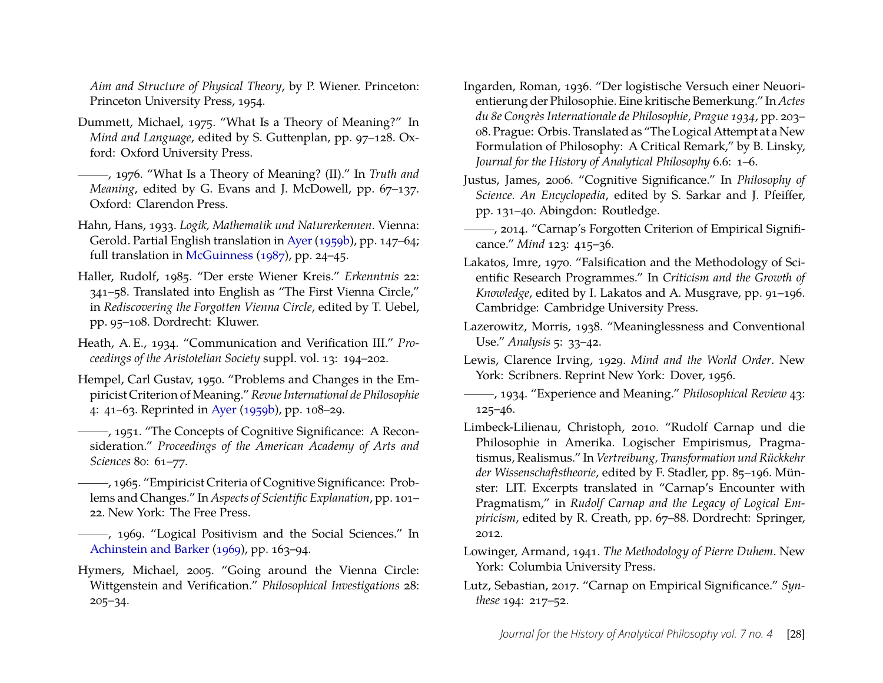*Aim and Structure of Physical Theory*, by P. Wiener. Princeton: Princeton University Press, 1954.

- <span id="page-28-1"></span>Dummett, Michael, 1975. "What Is a Theory of Meaning?" In *Mind and Language*, edited by S. Guttenplan, pp. 97–128. Oxford: Oxford University Press.
- <span id="page-28-2"></span>, 1976. "What Is a Theory of Meaning? (II)." In *Truth and Meaning*, edited by G. Evans and J. McDowell, pp. 67-137. Oxford: Clarendon Press.
- <span id="page-28-5"></span>Hahn, Hans, 1933. *Logik, Mathematik und Naturerkennen*. Vienna: Gerold. Partial English translation in [Ayer](#page-26-18) [\(1959b\)](#page-26-18), pp. 147–64; full translation in [McGuinness](#page-29-19) [\(1987\)](#page-29-19), pp. 24–45.
- <span id="page-28-19"></span>Haller, Rudolf, 1985. "Der erste Wiener Kreis." *Erkenntnis* 22: 341–58. Translated into English as "The First Vienna Circle," in *Rediscovering the Forgotten Vienna Circle*, edited by T. Uebel, pp. 95–108. Dordrecht: Kluwer.
- <span id="page-28-16"></span>Heath, A. E., 1934. "Communication and Verification III." *Proceedings of the Aristotelian Society* suppl. vol. 13: 194–202.
- <span id="page-28-9"></span>Hempel, Carl Gustav, 1950. "Problems and Changes in the Empiricist Criterion of Meaning." *Revue International de Philosophie* 4: 41–63. Reprinted in [Ayer](#page-26-18) [\(1959b\)](#page-26-18), pp. 108–29.

<span id="page-28-10"></span>, 1951. "The Concepts of Cognitive Significance: A Reconsideration." *Proceedings of the American Academy of Arts and Sciences* 80: 61–77.

- <span id="page-28-11"></span>, 1965. "Empiricist Criteria of Cognitive Significance: Problems and Changes." In *Aspects of Scientific Explanation*, pp. 101– 22. New York: The Free Press.
- <span id="page-28-17"></span>, 1969. "Logical Positivism and the Social Sciences." In [Achinstein and Barker](#page-26-19) [\(1969\)](#page-26-19), pp. 163–94.
- <span id="page-28-4"></span>Hymers, Michael, 2005. "Going around the Vienna Circle: Wittgenstein and Verification." *Philosophical Investigations* 28: 205–34.
- <span id="page-28-12"></span>Ingarden, Roman, 1936. "Der logistische Versuch einer Neuorientierung der Philosophie. Eine kritische Bemerkung." In *Actes du 8e Congrès Internationale de Philosophie, Prague 1934*, pp. 203– 08. Prague: Orbis. Translated as "The Logical Attempt at a New Formulation of Philosophy: A Critical Remark," by B. Linsky, *Journal for the History of Analytical Philosophy* 6.6: 1–6.
- <span id="page-28-3"></span>Justus, James, 2006. "Cognitive Significance." In *Philosophy of Science. An Encyclopedia*, edited by S. Sarkar and J. Pfeiffer, pp. 131–40. Abingdon: Routledge.
- <span id="page-28-7"></span>, 2014. "Carnap's Forgotten Criterion of Empirical Significance." *Mind* 123: 415–36.
- <span id="page-28-6"></span>Lakatos, Imre, 1970. "Falsification and the Methodology of Scientific Research Programmes." In *Criticism and the Growth of Knowledge*, edited by I. Lakatos and A. Musgrave, pp. 91–196. Cambridge: Cambridge University Press.
- <span id="page-28-13"></span>Lazerowitz, Morris, 1938. "Meaninglessness and Conventional Use." *Analysis* 5: 33–42.
- <span id="page-28-14"></span>Lewis, Clarence Irving, 1929. *Mind and the World Order*. New York: Scribners. Reprint New York: Dover, 1956.
- <span id="page-28-0"></span>, 1934. "Experience and Meaning." *Philosophical Review* 43: 125–46.
- <span id="page-28-15"></span>Limbeck-Lilienau, Christoph, 2010. "Rudolf Carnap und die Philosophie in Amerika. Logischer Empirismus, Pragmatismus, Realismus." In *Vertreibung, Transformation und Rückkehr der Wissenschaftstheorie*, edited by F. Stadler, pp. 85–196. Münster: LIT. Excerpts translated in "Carnap's Encounter with Pragmatism," in *Rudolf Carnap and the Legacy of Logical Empiricism*, edited by R. Creath, pp. 67–88. Dordrecht: Springer, 2012.
- <span id="page-28-18"></span>Lowinger, Armand, 1941. *The Methodology of Pierre Duhem*. New York: Columbia University Press.
- <span id="page-28-8"></span>Lutz, Sebastian, 2017. "Carnap on Empirical Significance." *Synthese* 194: 217–52.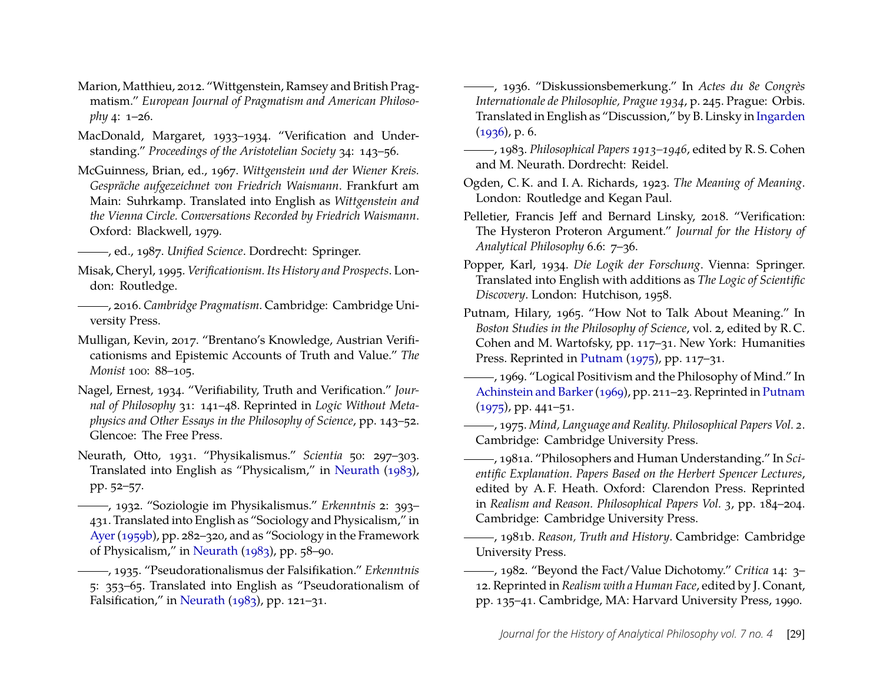- <span id="page-29-5"></span>Marion, Matthieu, 2012. "Wittgenstein, Ramsey and British Pragmatism." *European Journal of Pragmatism and American Philosophy* 4: 1–26.
- <span id="page-29-10"></span>MacDonald, Margaret, 1933–1934. "Verification and Understanding." *Proceedings of the Aristotelian Society* 34: 143–56.
- <span id="page-29-4"></span>McGuinness, Brian, ed., 1967. *Wittgenstein und der Wiener Kreis. Gespräche aufgezeichnet von Friedrich Waismann*. Frankfurt am Main: Suhrkamp. Translated into English as *Wittgenstein and the Vienna Circle. Conversations Recorded by Friedrich Waismann*. Oxford: Blackwell, 1979.
- <span id="page-29-19"></span>, ed., 1987. *Unified Science*. Dordrecht: Springer.
- <span id="page-29-0"></span>Misak, Cheryl, 1995. *Verificationism. Its History and Prospects*. London: Routledge.
- <span id="page-29-6"></span>, 2016. *Cambridge Pragmatism*. Cambridge: Cambridge University Press.
- <span id="page-29-1"></span>Mulligan, Kevin, 2017. "Brentano's Knowledge, Austrian Verificationisms and Epistemic Accounts of Truth and Value." *The Monist* 100: 88–105.
- <span id="page-29-11"></span>Nagel, Ernest, 1934. "Verifiability, Truth and Verification." *Journal of Philosophy* 31: 141–48. Reprinted in *Logic Without Metaphysics and Other Essays in the Philosophy of Science*, pp. 143–52. Glencoe: The Free Press.
- <span id="page-29-14"></span>Neurath, Otto, 1931. "Physikalismus." *Scientia* 50: 297–303. Translated into English as "Physicalism," in [Neurath](#page-29-20) [\(1983\)](#page-29-20), pp. 52–57.
- <span id="page-29-15"></span>, 1932. "Soziologie im Physikalismus." *Erkenntnis* 2: 393– 431. Translated into English as "Sociology and Physicalism," in [Ayer\(1959b\)](#page-26-18), pp. 282–320, and as "Sociology in the Framework of Physicalism," in [Neurath](#page-29-20) [\(1983\)](#page-29-20), pp. 58–90.
- <span id="page-29-8"></span>, 1935. "Pseudorationalismus der Falsifikation." *Erkenntnis* 5: 353–65. Translated into English as "Pseudorationalism of Falsification," in [Neurath](#page-29-20)  $(1983)$ , pp. 121-31.
- <span id="page-29-12"></span>, 1936. "Diskussionsbemerkung." In *Actes du 8e Congrès Internationale de Philosophie, Prague 1934*, p. 245. Prague: Orbis. Translated in English as "Discussion," by B. Linsky in [Ingarden](#page-28-12) [\(1936\)](#page-28-12), p. 6.
- <span id="page-29-20"></span>, 1983. *Philosophical Papers 1913–1946*, edited by R. S. Cohen and M. Neurath. Dordrecht: Reidel.
- <span id="page-29-2"></span>Ogden, C. K. and I. A. Richards, 1923. *The Meaning of Meaning*. London: Routledge and Kegan Paul.
- <span id="page-29-9"></span>Pelletier, Francis Jeff and Bernard Linsky, 2018. "Verification: The Hysteron Proteron Argument." *Journal for the History of Analytical Philosophy* 6.6: 7–36.
- <span id="page-29-3"></span>Popper, Karl, 1934. *Die Logik der Forschung*. Vienna: Springer. Translated into English with additions as *The Logic of Scientific Discovery*. London: Hutchison, 1958.
- <span id="page-29-7"></span>Putnam, Hilary, 1965. "How Not to Talk About Meaning." In *Boston Studies in the Philosophy of Science*, vol. 2, edited by R. C. Cohen and M. Wartofsky, pp. 117–31. New York: Humanities Press. Reprinted in [Putnam](#page-29-21) [\(1975\)](#page-29-21), pp. 117–31.
- <span id="page-29-18"></span>, 1969. "Logical Positivism and the Philosophy of Mind." In [Achinstein and Barker\(1969\)](#page-26-19), pp. 211–23. Reprinted in [Putnam](#page-29-21) [\(1975\)](#page-29-21), pp. 441–51.

<span id="page-29-21"></span>, 1975. *Mind, Language and Reality. Philosophical Papers Vol. 2*. Cambridge: Cambridge University Press.

<span id="page-29-16"></span>, 1981a. "Philosophers and Human Understanding." In *Scientific Explanation. Papers Based on the Herbert Spencer Lectures*, edited by A. F. Heath. Oxford: Clarendon Press. Reprinted in *Realism and Reason. Philosophical Papers Vol. 3*, pp. 184–204. Cambridge: Cambridge University Press.

<span id="page-29-13"></span>, 1981b. *Reason, Truth and History*. Cambridge: Cambridge University Press.

<span id="page-29-17"></span>, 1982. "Beyond the Fact/Value Dichotomy." *Critica* 14: 3– 12. Reprinted in *Realism with a Human Face*, edited by J. Conant, pp. 135–41. Cambridge, MA: Harvard University Press, 1990.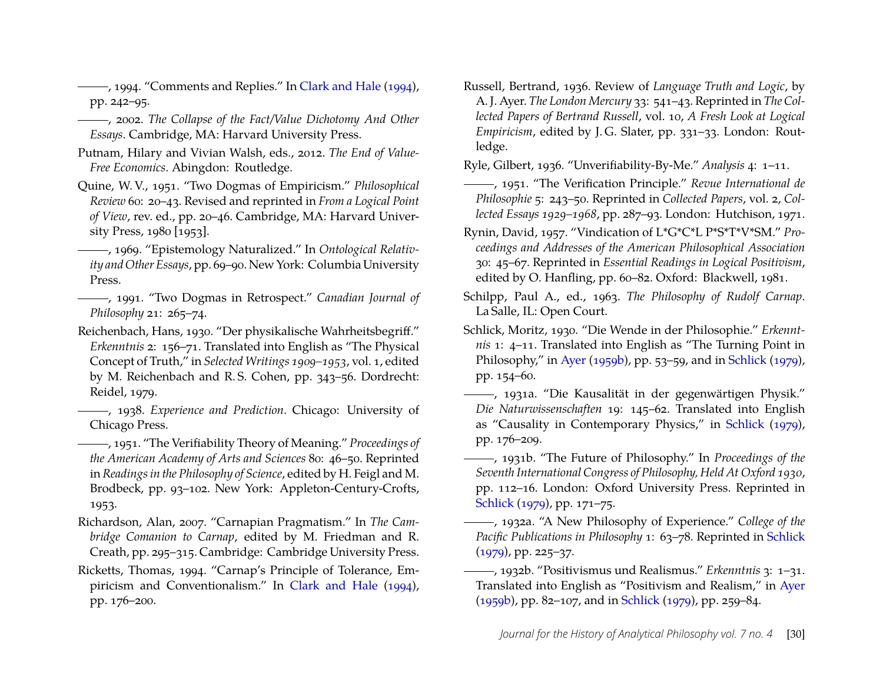<span id="page-30-18"></span>, 1994. "Comments and Replies." In [Clark and Hale](#page-27-18) [\(1994\)](#page-27-18), pp. 242–95.

- <span id="page-30-13"></span>, 2002. *The Collapse of the Fact/Value Dichotomy And Other Essays*. Cambridge, MA: Harvard University Press.
- <span id="page-30-14"></span>Putnam, Hilary and Vivian Walsh, eds., 2012. *The End of Value-Free Economics*. Abingdon: Routledge.
- <span id="page-30-9"></span>Quine, W. V., 1951. "Two Dogmas of Empiricism." *Philosophical Review* 60: 20–43. Revised and reprinted in *From a Logical Point of View*, rev. ed., pp. 20–46. Cambridge, MA: Harvard University Press, 1980 [1953].
- <span id="page-30-10"></span>, 1969. "Epistemology Naturalized." In *Ontological Relativity and Other Essays*, pp. 69–90. New York: Columbia University Press.
- <span id="page-30-19"></span>, 1991. "Two Dogmas in Retrospect." *Canadian Journal of Philosophy* 21: 265–74.
- <span id="page-30-3"></span>Reichenbach, Hans, 1930. "Der physikalische Wahrheitsbegriff." *Erkenntnis* 2: 156–71. Translated into English as "The Physical Concept of Truth," in *Selected Writings 1909–1953*, vol. 1, edited by M. Reichenbach and R. S. Cohen, pp. 343–56. Dordrecht: Reidel, 1979.
- <span id="page-30-4"></span>, 1938. *Experience and Prediction*. Chicago: University of Chicago Press.
- <span id="page-30-5"></span>, 1951. "The Verifiability Theory of Meaning." *Proceedings of the American Academy of Arts and Sciences* 80: 46–50. Reprinted in *Readings in the Philosophy of Science*, edited by H. Feigl and M. Brodbeck, pp. 93–102. New York: Appleton-Century-Crofts, 1953.
- <span id="page-30-16"></span>Richardson, Alan, 2007. "Carnapian Pragmatism." In *The Cambridge Comanion to Carnap*, edited by M. Friedman and R. Creath, pp. 295–315. Cambridge: Cambridge University Press.
- <span id="page-30-17"></span>Ricketts, Thomas, 1994. "Carnap's Principle of Tolerance, Empiricism and Conventionalism." In [Clark and Hale](#page-27-18) [\(1994\)](#page-27-18), pp. 176–200.
- <span id="page-30-11"></span>Russell, Bertrand, 1936. Review of *Language Truth and Logic*, by A. J. Ayer. *The London Mercury* 33: 541–43. Reprinted in *The Collected Papers of Bertrand Russell*, vol. 10, *A Fresh Look at Logical Empiricism*, edited by J. G. Slater, pp. 331–33. London: Routledge.
- <span id="page-30-1"></span>Ryle, Gilbert, 1936. "Unverifiability-By-Me." *Analysis* 4: 1–11.
- <span id="page-30-0"></span>, 1951. "The Verification Principle." *Revue International de Philosophie* 5: 243–50. Reprinted in *Collected Papers*, vol. 2, *Collected Essays 1929–1968*, pp. 287–93. London: Hutchison, 1971.
- <span id="page-30-8"></span>Rynin, David, 1957. "Vindication of L\*G\*C\*L P\*S\*T\*V\*SM." *Proceedings and Addresses of the American Philosophical Association* 30: 45–67. Reprinted in *Essential Readings in Logical Positivism*, edited by O. Hanfling, pp. 60–82. Oxford: Blackwell, 1981.
- <span id="page-30-20"></span>Schilpp, Paul A., ed., 1963. *The Philosophy of Rudolf Carnap*. La Salle, IL: Open Court.
- <span id="page-30-2"></span>Schlick, Moritz, 1930. "Die Wende in der Philosophie." *Erkenntnis* 1: 4–11. Translated into English as "The Turning Point in Philosophy," in [Ayer](#page-26-18) [\(1959b\)](#page-26-18), pp. 53–59, and in [Schlick](#page-31-20) [\(1979\)](#page-31-20), pp. 154–60.
- <span id="page-30-7"></span>, 1931a. "Die Kausalität in der gegenwärtigen Physik." *Die Naturwissenschaften* 19: 145–62. Translated into English as "Causality in Contemporary Physics," in [Schlick](#page-31-20) [\(1979\)](#page-31-20), pp. 176–209.
- <span id="page-30-12"></span>, 1931b. "The Future of Philosophy." In *Proceedings of the Seventh International Congress of Philosophy, Held At Oxford 1930*, pp. 112–16. London: Oxford University Press. Reprinted in [Schlick](#page-31-20) [\(1979\)](#page-31-20), pp. 171–75.
- <span id="page-30-15"></span>, 1932a. "A New Philosophy of Experience." *College of the Pacific Publications in Philosophy* 1: 63–78. Reprinted in [Schlick](#page-31-20) [\(1979\)](#page-31-20), pp. 225–37.
- <span id="page-30-6"></span>, 1932b. "Positivismus und Realismus." *Erkenntnis* 3: 1–31. Translated into English as "Positivism and Realism," in [Ayer](#page-26-18) [\(1959b\)](#page-26-18), pp. 82–107, and in [Schlick](#page-31-20) [\(1979\)](#page-31-20), pp. 259–84.